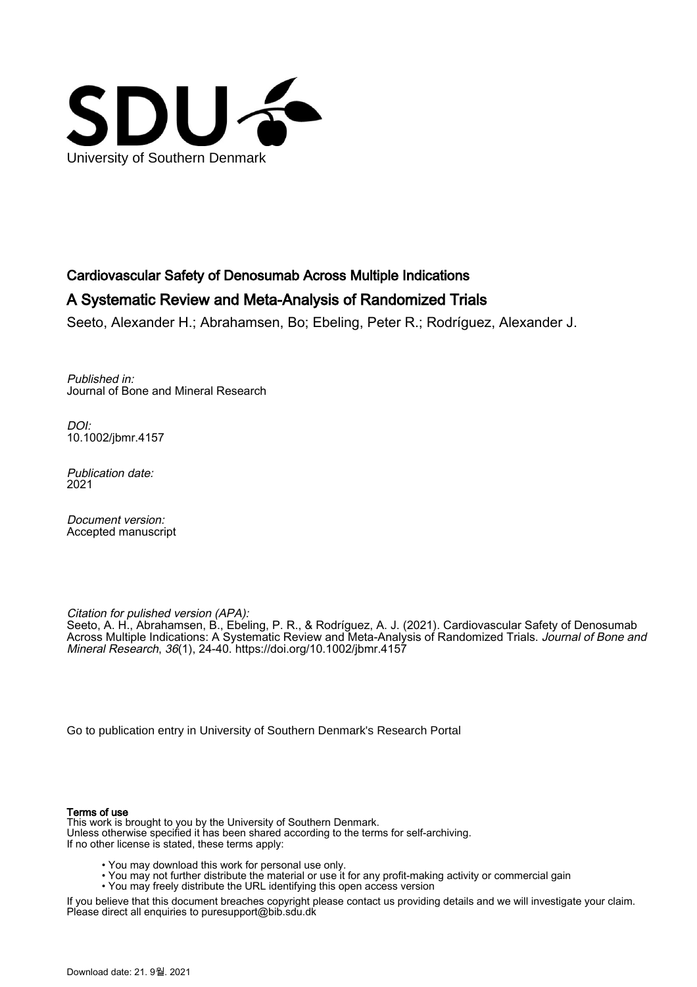

# Cardiovascular Safety of Denosumab Across Multiple Indications

# A Systematic Review and Meta-Analysis of Randomized Trials

Seeto, Alexander H.; Abrahamsen, Bo; Ebeling, Peter R.; Rodríguez, Alexander J.

Published in: Journal of Bone and Mineral Research

DOI: [10.1002/jbmr.4157](https://doi.org/10.1002/jbmr.4157)

Publication date: 2021

Document version: Accepted manuscript

Citation for pulished version (APA):

Seeto, A. H., Abrahamsen, B., Ebeling, P. R., & Rodríguez, A. J. (2021). Cardiovascular Safety of Denosumab Across Multiple Indications: A Systematic Review and Meta-Analysis of Randomized Trials. Journal of Bone and Mineral Research, 36(1), 24-40. <https://doi.org/10.1002/jbmr.4157>

[Go to publication entry in University of Southern Denmark's Research Portal](https://portal.findresearcher.sdu.dk/en/publications/bf5b46cc-6eac-450b-b94f-26e39d966866)

#### Terms of use

This work is brought to you by the University of Southern Denmark. Unless otherwise specified it has been shared according to the terms for self-archiving. If no other license is stated, these terms apply:

- You may download this work for personal use only.
- You may not further distribute the material or use it for any profit-making activity or commercial gain
- You may freely distribute the URL identifying this open access version

If you believe that this document breaches copyright please contact us providing details and we will investigate your claim. Please direct all enquiries to puresupport@bib.sdu.dk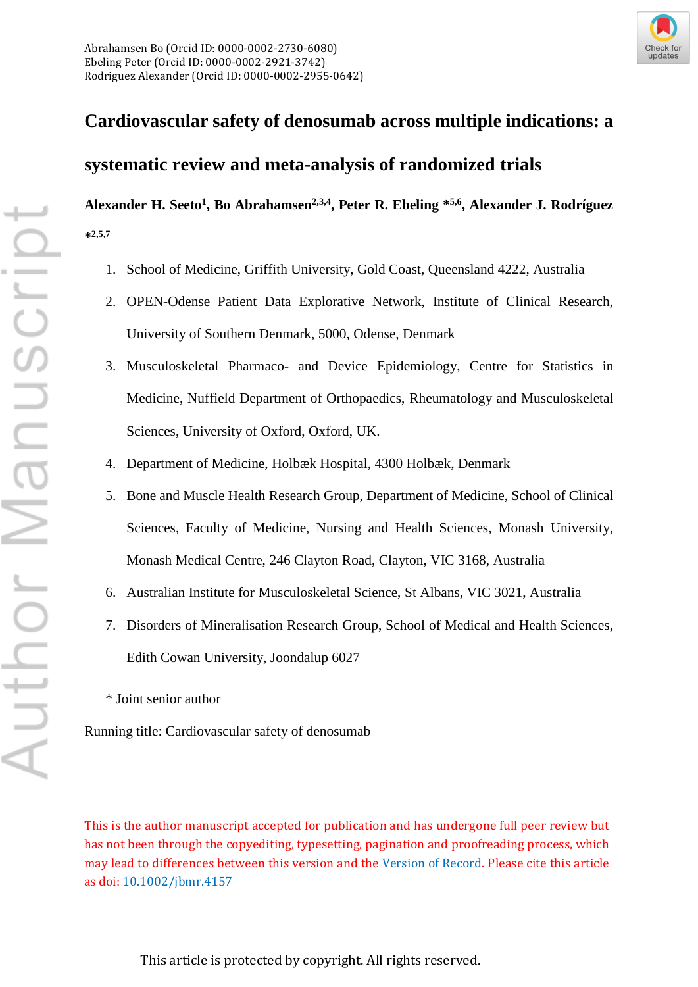

# **Cardiovascular safety of denosumab across multiple indications: a systematic review and meta-analysis of randomized trials**

Alexander H. Seeto<sup>1</sup>, Bo Abrahamsen<sup>2,3,4</sup>, Peter R. Ebeling \*5,6, Alexander J. Rodríguez **\*2,5,7**

- 1. School of Medicine, Griffith University, Gold Coast, Queensland 4222, Australia
- 2. OPEN-Odense Patient Data Explorative Network, Institute of Clinical Research, University of Southern Denmark, 5000, Odense, Denmark
- 3. Musculoskeletal Pharmaco- and Device Epidemiology, Centre for Statistics in Medicine, Nuffield Department of Orthopaedics, Rheumatology and Musculoskeletal Sciences, University of Oxford, Oxford, UK.
- 4. Department of Medicine, Holbæk Hospital, 4300 Holbæk, Denmark
- 5. Bone and Muscle Health Research Group, Department of Medicine, School of Clinical Sciences, Faculty of Medicine, Nursing and Health Sciences, Monash University, Monash Medical Centre, 246 Clayton Road, Clayton, VIC 3168, Australia
- 6. Australian Institute for Musculoskeletal Science, St Albans, VIC 3021, Australia
- 7. Disorders of Mineralisation Research Group, School of Medical and Health Sciences, Edith Cowan University, Joondalup 6027
- \* Joint senior author

Running title: Cardiovascular safety of denosumab

This is the author manuscript accepted for publication and has undergone full peer review but has not been through the copyediting, typesetting, pagination and proofreading process, which may lead to differences between this version and the [Version of Record](http://dx.doi.org/10.1002/jbmr.4157). Please cite this article as doi: [10.1002/jbmr.4157](http://dx.doi.org/10.1002/jbmr.4157)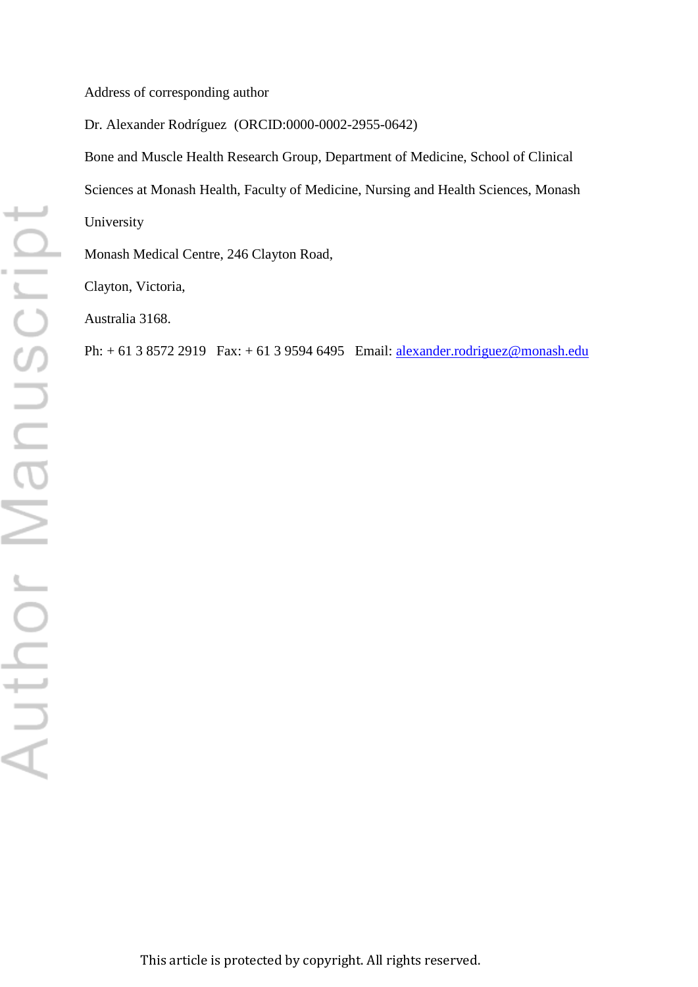Address of corresponding author

Dr. Alexander Rodríguez (ORCID:0000-0002-2955-0642)

Bone and Muscle Health Research Group, Department of Medicine, School of Clinical Sciences at Monash Health, Faculty of Medicine, Nursing and Health Sciences, Monash University

Monash Medical Centre, 246 Clayton Road,

Clayton, Victoria,

Australia 3168.

Ph: + 61 3 8572 2919 Fax: + 61 3 9594 6495 Email: **alexander.rodriguez@monash.edu**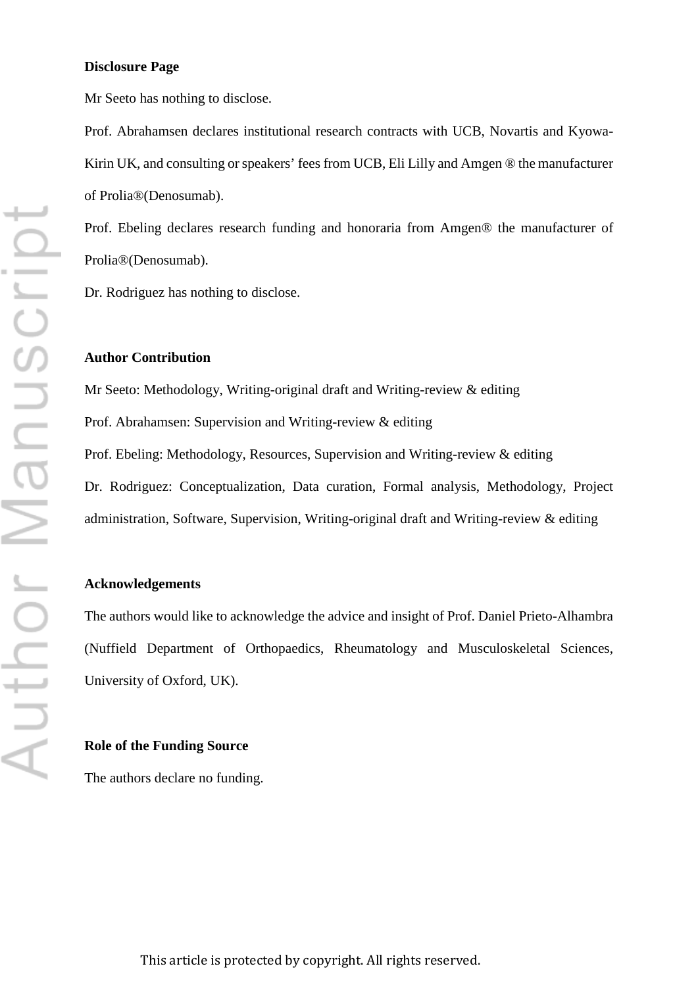#### **Disclosure Page**

Mr Seeto has nothing to disclose.

Prof. Abrahamsen declares institutional research contracts with UCB, Novartis and Kyowa-Kirin UK, and consulting or speakers' fees from UCB, Eli Lilly and Amgen ® the manufacturer of Prolia®(Denosumab).

Prof. Ebeling declares research funding and honoraria from Amgen® the manufacturer of Prolia®(Denosumab).

Dr. Rodriguez has nothing to disclose.

#### **Author Contribution**

Mr Seeto: Methodology, Writing-original draft and Writing-review & editing Prof. Abrahamsen: Supervision and Writing-review & editing Prof. Ebeling: Methodology, Resources, Supervision and Writing-review & editing Dr. Rodriguez: Conceptualization, Data curation, Formal analysis, Methodology, Project administration, Software, Supervision, Writing-original draft and Writing-review & editing

# **Acknowledgements**

The authors would like to acknowledge the advice and insight of Prof. Daniel Prieto-Alhambra (Nuffield Department of Orthopaedics, Rheumatology and Musculoskeletal Sciences, University of Oxford, UK).

#### **Role of the Funding Source**

The authors declare no funding.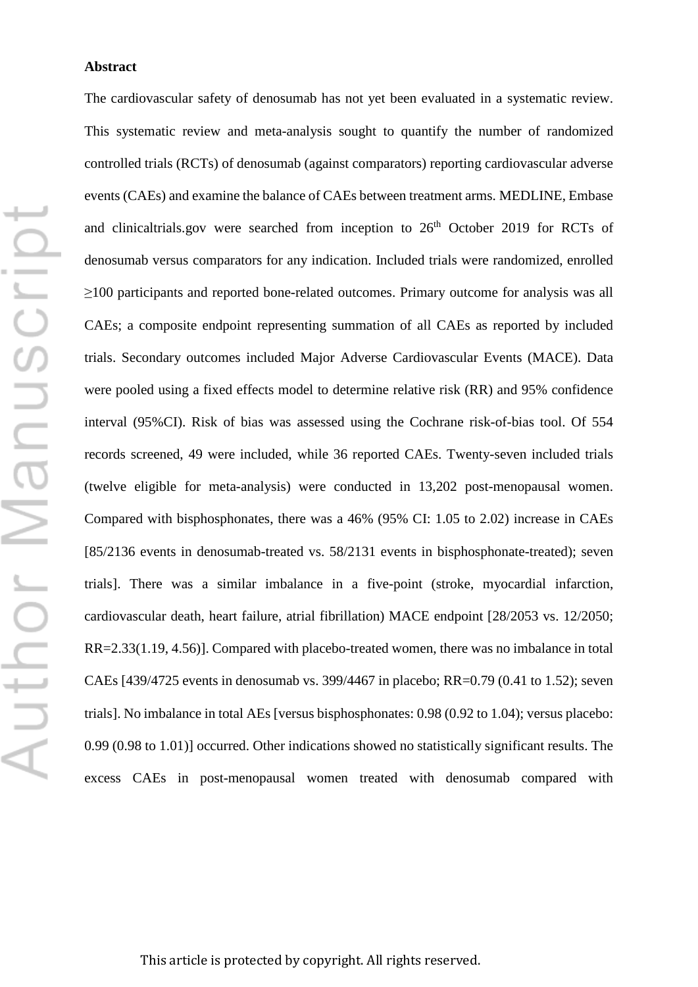#### **Abstract**

The cardiovascular safety of denosumab has not yet been evaluated in a systematic review. This systematic review and meta-analysis sought to quantify the number of randomized controlled trials (RCTs) of denosumab (against comparators) reporting cardiovascular adverse events (CAEs) and examine the balance of CAEs between treatment arms. MEDLINE, Embase and clinicaltrials.gov were searched from inception to 26<sup>th</sup> October 2019 for RCTs of denosumab versus comparators for any indication. Included trials were randomized, enrolled ≥100 participants and reported bone-related outcomes. Primary outcome for analysis was all CAEs; a composite endpoint representing summation of all CAEs as reported by included trials. Secondary outcomes included Major Adverse Cardiovascular Events (MACE). Data were pooled using a fixed effects model to determine relative risk (RR) and 95% confidence interval (95%CI). Risk of bias was assessed using the Cochrane risk-of-bias tool. Of 554 records screened, 49 were included, while 36 reported CAEs. Twenty-seven included trials (twelve eligible for meta-analysis) were conducted in 13,202 post-menopausal women. Compared with bisphosphonates, there was a 46% (95% CI: 1.05 to 2.02) increase in CAEs [85/2136 events in denosumab-treated vs. 58/2131 events in bisphosphonate-treated); seven trials]. There was a similar imbalance in a five-point (stroke, myocardial infarction, cardiovascular death, heart failure, atrial fibrillation) MACE endpoint [28/2053 vs. 12/2050; RR=2.33(1.19, 4.56)]. Compared with placebo-treated women, there was no imbalance in total CAEs [439/4725 events in denosumab vs. 399/4467 in placebo; RR=0.79 (0.41 to 1.52); seven trials]. No imbalance in total AEs [versus bisphosphonates: 0.98 (0.92 to 1.04); versus placebo: 0.99 (0.98 to 1.01)] occurred. Other indications showed no statistically significant results. The excess CAEs in post-menopausal women treated with denosumab compared with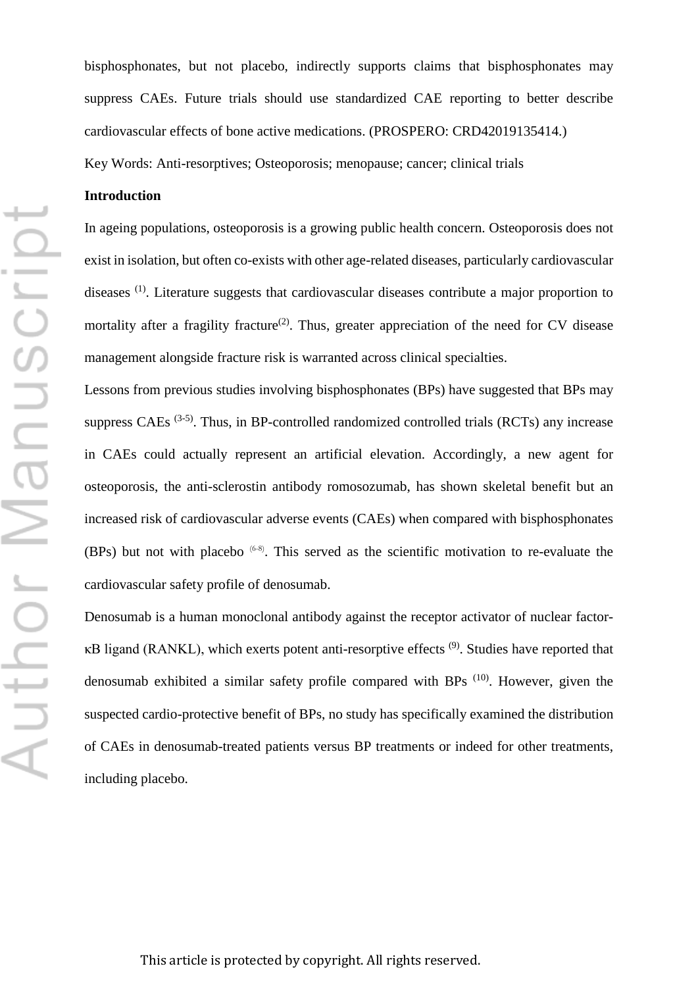Author Manuscript

bisphosphonates, but not placebo, indirectly supports claims that bisphosphonates may suppress CAEs. Future trials should use standardized CAE reporting to better describe cardiovascular effects of bone active medications. (PROSPERO: CRD42019135414.)

Key Words: Anti-resorptives; Osteoporosis; menopause; cancer; clinical trials

# **Introduction**

In ageing populations, osteoporosis is a growing public health concern. Osteoporosis does not exist in isolation, but often co-exists with other age-related diseases, particularly cardiovascular diseases (1). Literature suggests that cardiovascular diseases contribute a major proportion to mortality after a fragility fracture<sup>(2)</sup>. Thus, greater appreciation of the need for CV disease management alongside fracture risk is warranted across clinical specialties.

Lessons from previous studies involving bisphosphonates (BPs) have suggested that BPs may suppress CAEs  $(3-5)$ . Thus, in BP-controlled randomized controlled trials (RCTs) any increase in CAEs could actually represent an artificial elevation. Accordingly, a new agent for osteoporosis, the anti-sclerostin antibody romosozumab, has shown skeletal benefit but an increased risk of cardiovascular adverse events (CAEs) when compared with bisphosphonates (BPs) but not with placebo  $^{(6-8)}$ . This served as the scientific motivation to re-evaluate the cardiovascular safety profile of denosumab.

Denosumab is a human monoclonal antibody against the receptor activator of nuclear factor- $\kappa$ B ligand (RANKL), which exerts potent anti-resorptive effects  $(9)$ . Studies have reported that denosumab exhibited a similar safety profile compared with BPs (10). However, given the suspected cardio-protective benefit of BPs, no study has specifically examined the distribution of CAEs in denosumab-treated patients versus BP treatments or indeed for other treatments, including placebo.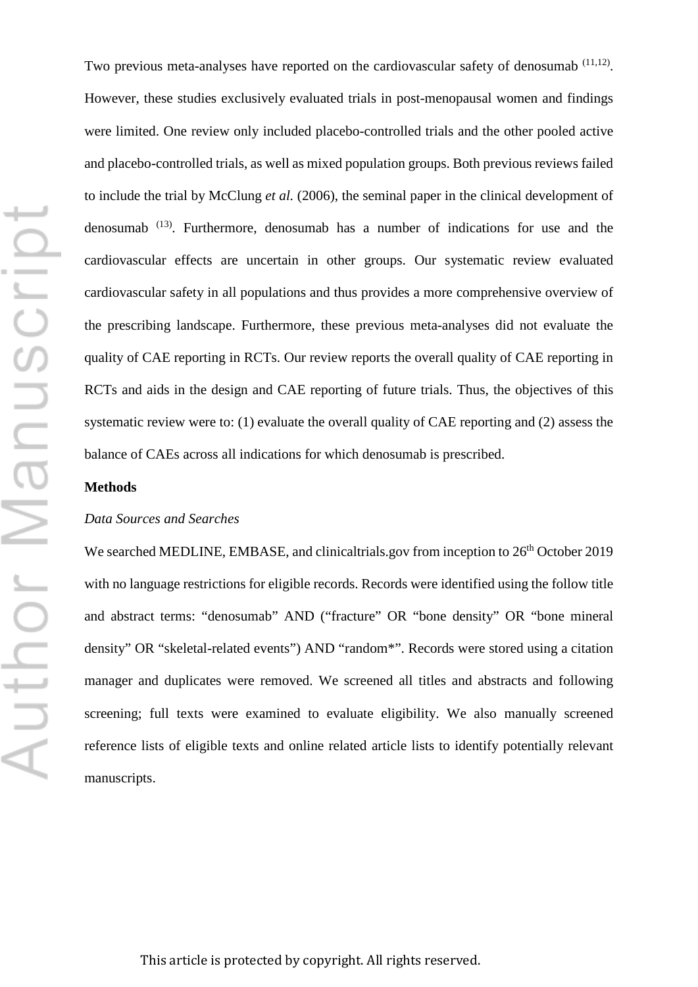Two previous meta-analyses have reported on the cardiovascular safety of denosumab  $(11,12)$ . However, these studies exclusively evaluated trials in post-menopausal women and findings were limited. One review only included placebo-controlled trials and the other pooled active and placebo-controlled trials, as well as mixed population groups. Both previous reviews failed to include the trial by McClung *et al.* (2006), the seminal paper in the clinical development of denosumab (13). Furthermore, denosumab has a number of indications for use and the cardiovascular effects are uncertain in other groups. Our systematic review evaluated cardiovascular safety in all populations and thus provides a more comprehensive overview of the prescribing landscape. Furthermore, these previous meta-analyses did not evaluate the quality of CAE reporting in RCTs. Our review reports the overall quality of CAE reporting in RCTs and aids in the design and CAE reporting of future trials. Thus, the objectives of this systematic review were to: (1) evaluate the overall quality of CAE reporting and (2) assess the balance of CAEs across all indications for which denosumab is prescribed.

# **Methods**

# *Data Sources and Searches*

We searched MEDLINE, EMBASE, and clinicaltrials.gov from inception to  $26<sup>th</sup>$  October 2019 with no language restrictions for eligible records. Records were identified using the follow title and abstract terms: "denosumab" AND ("fracture" OR "bone density" OR "bone mineral density" OR "skeletal-related events") AND "random\*". Records were stored using a citation manager and duplicates were removed. We screened all titles and abstracts and following screening; full texts were examined to evaluate eligibility. We also manually screened reference lists of eligible texts and online related article lists to identify potentially relevant manuscripts.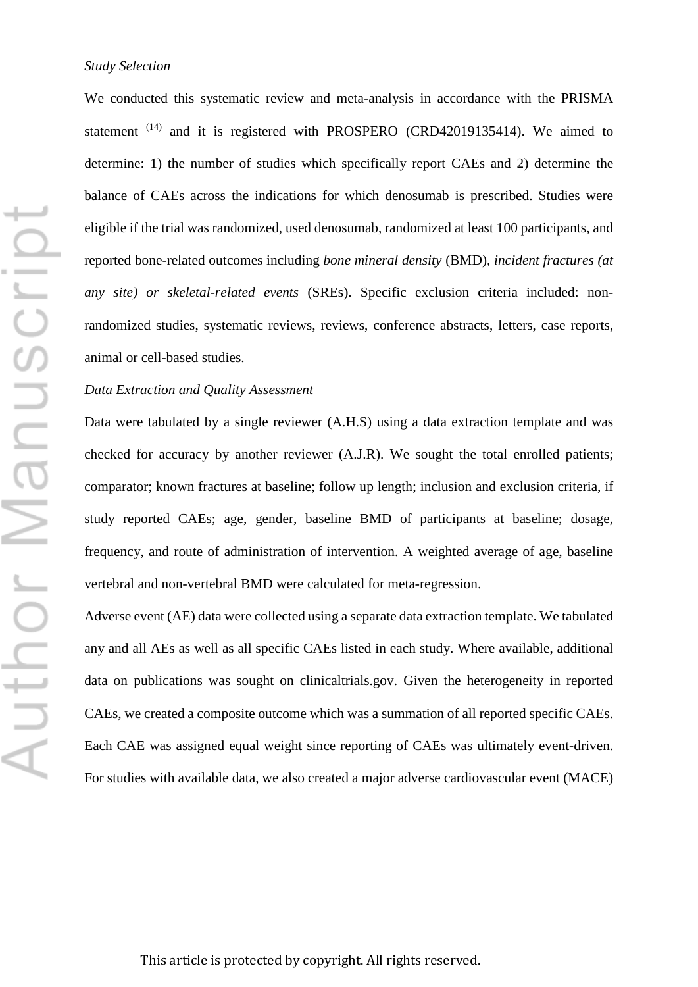We conducted this systematic review and meta-analysis in accordance with the PRISMA statement<sup>(14)</sup> and it is registered with PROSPERO (CRD42019135414). We aimed to determine: 1) the number of studies which specifically report CAEs and 2) determine the balance of CAEs across the indications for which denosumab is prescribed. Studies were eligible if the trial was randomized, used denosumab, randomized at least 100 participants, and reported bone-related outcomes including *bone mineral density* (BMD)*, incident fractures (at any site) or skeletal-related events* (SREs). Specific exclusion criteria included: nonrandomized studies, systematic reviews, reviews, conference abstracts, letters, case reports, animal or cell-based studies.

# *Data Extraction and Quality Assessment*

Data were tabulated by a single reviewer (A.H.S) using a data extraction template and was checked for accuracy by another reviewer (A.J.R). We sought the total enrolled patients; comparator; known fractures at baseline; follow up length; inclusion and exclusion criteria, if study reported CAEs; age, gender, baseline BMD of participants at baseline; dosage, frequency, and route of administration of intervention. A weighted average of age, baseline vertebral and non-vertebral BMD were calculated for meta-regression.

Adverse event (AE) data were collected using a separate data extraction template. We tabulated any and all AEs as well as all specific CAEs listed in each study. Where available, additional data on publications was sought on clinicaltrials.gov. Given the heterogeneity in reported CAEs, we created a composite outcome which was a summation of all reported specific CAEs. Each CAE was assigned equal weight since reporting of CAEs was ultimately event-driven. For studies with available data, we also created a major adverse cardiovascular event (MACE)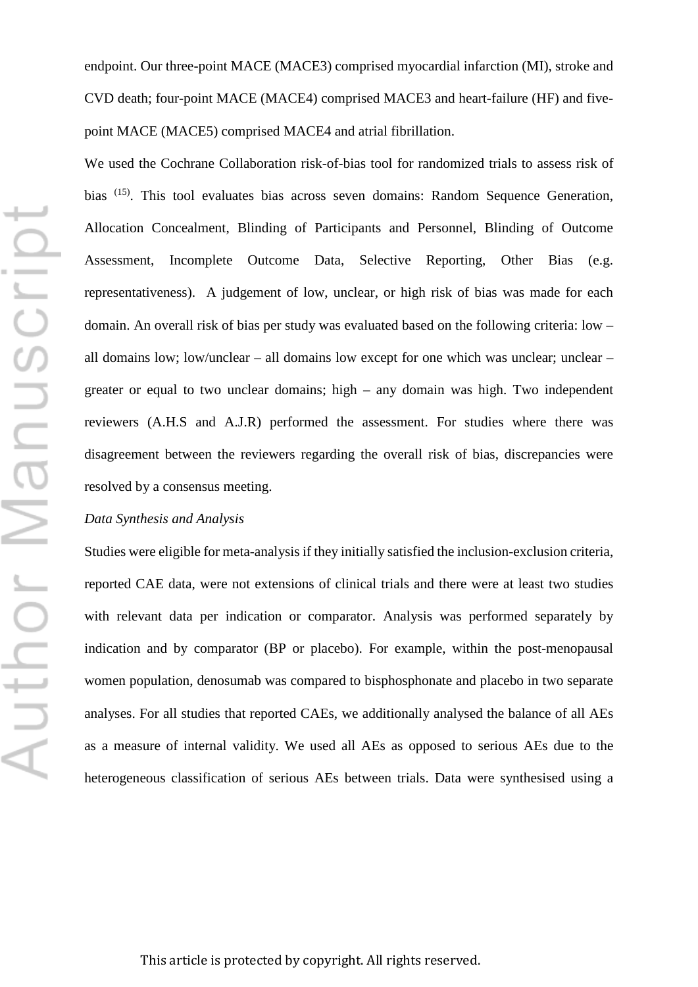endpoint. Our three-point MACE (MACE3) comprised myocardial infarction (MI), stroke and CVD death; four-point MACE (MACE4) comprised MACE3 and heart-failure (HF) and fivepoint MACE (MACE5) comprised MACE4 and atrial fibrillation.

We used the Cochrane Collaboration risk-of-bias tool for randomized trials to assess risk of bias (15). This tool evaluates bias across seven domains: Random Sequence Generation, Allocation Concealment, Blinding of Participants and Personnel, Blinding of Outcome Assessment, Incomplete Outcome Data, Selective Reporting, Other Bias (e.g. representativeness). A judgement of low, unclear, or high risk of bias was made for each domain. An overall risk of bias per study was evaluated based on the following criteria: low – all domains low; low/unclear – all domains low except for one which was unclear; unclear – greater or equal to two unclear domains; high – any domain was high. Two independent reviewers (A.H.S and A.J.R) performed the assessment. For studies where there was disagreement between the reviewers regarding the overall risk of bias, discrepancies were resolved by a consensus meeting.

### *Data Synthesis and Analysis*

Studies were eligible for meta-analysis if they initially satisfied the inclusion-exclusion criteria, reported CAE data, were not extensions of clinical trials and there were at least two studies with relevant data per indication or comparator. Analysis was performed separately by indication and by comparator (BP or placebo). For example, within the post-menopausal women population, denosumab was compared to bisphosphonate and placebo in two separate analyses. For all studies that reported CAEs, we additionally analysed the balance of all AEs as a measure of internal validity. We used all AEs as opposed to serious AEs due to the heterogeneous classification of serious AEs between trials. Data were synthesised using a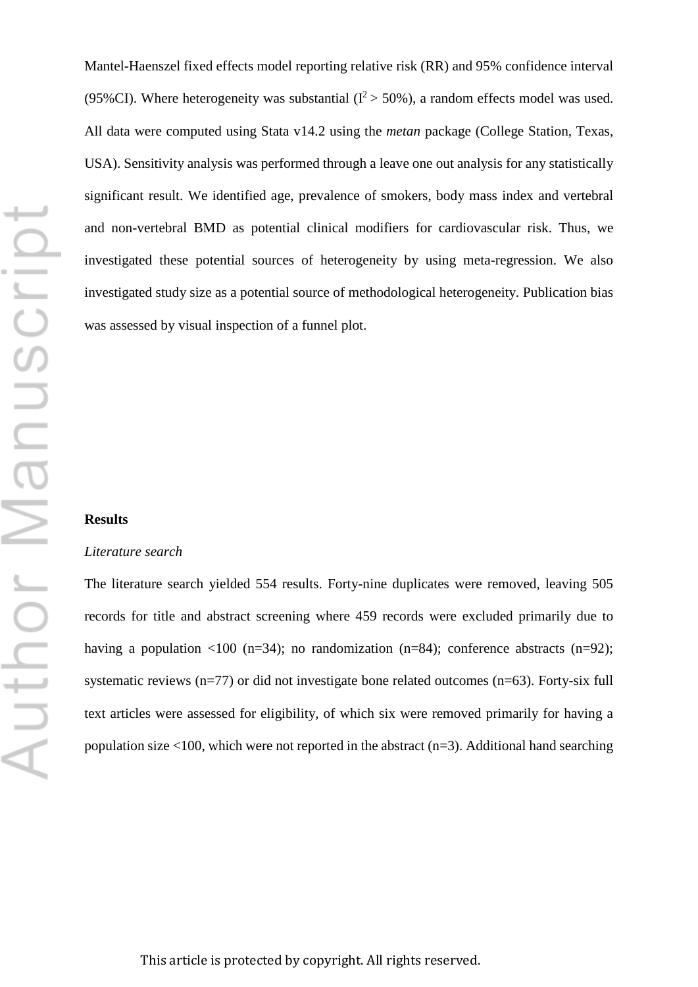Mantel-Haenszel fixed effects model reporting relative risk (RR) and 95% confidence interval (95%CI). Where heterogeneity was substantial ( $I^2 > 50$ %), a random effects model was used. All data were computed using Stata v14.2 using the *metan* package (College Station, Texas, USA). Sensitivity analysis was performed through a leave one out analysis for any statistically significant result. We identified age, prevalence of smokers, body mass index and vertebral and non-vertebral BMD as potential clinical modifiers for cardiovascular risk. Thus, we investigated these potential sources of heterogeneity by using meta-regression. We also investigated study size as a potential source of methodological heterogeneity. Publication bias was assessed by visual inspection of a funnel plot.

#### **Results**

#### *Literature search*

The literature search yielded 554 results. Forty-nine duplicates were removed, leaving 505 records for title and abstract screening where 459 records were excluded primarily due to having a population  $\langle 100 \rangle$  (n=34); no randomization (n=84); conference abstracts (n=92); systematic reviews (n=77) or did not investigate bone related outcomes (n=63). Forty-six full text articles were assessed for eligibility, of which six were removed primarily for having a population size  $<100$ , which were not reported in the abstract (n=3). Additional hand searching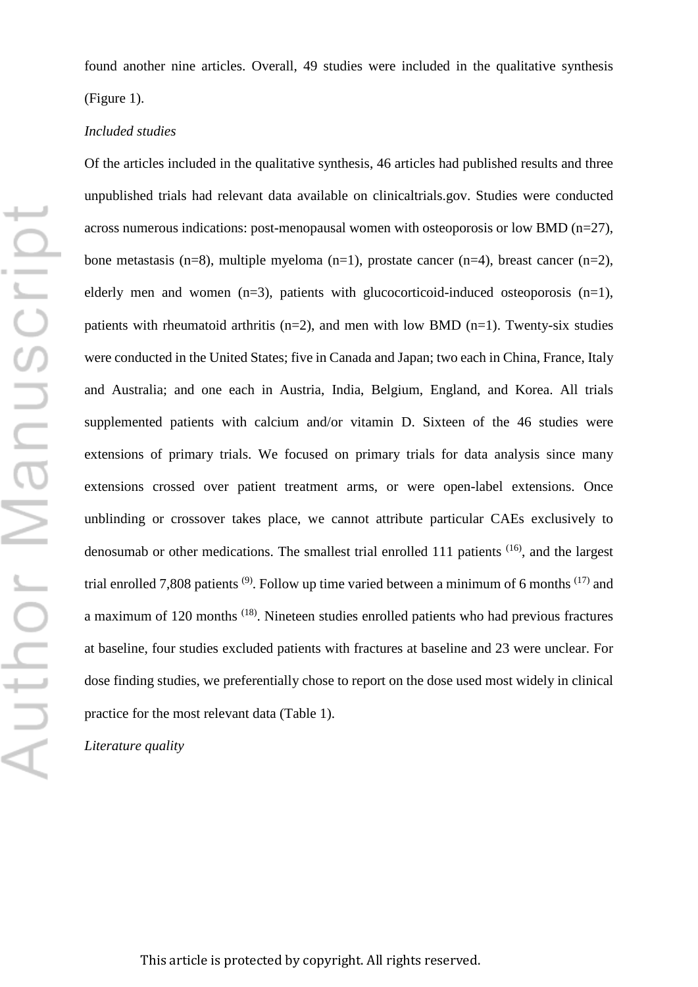found another nine articles. Overall, 49 studies were included in the qualitative synthesis (Figure 1).

# *Included studies*

Of the articles included in the qualitative synthesis, 46 articles had published results and three unpublished trials had relevant data available on clinicaltrials.gov. Studies were conducted across numerous indications: post-menopausal women with osteoporosis or low BMD (n=27), bone metastasis (n=8), multiple myeloma (n=1), prostate cancer (n=4), breast cancer (n=2), elderly men and women  $(n=3)$ , patients with glucocorticoid-induced osteoporosis  $(n=1)$ , patients with rheumatoid arthritis  $(n=2)$ , and men with low BMD  $(n=1)$ . Twenty-six studies were conducted in the United States; five in Canada and Japan; two each in China, France, Italy and Australia; and one each in Austria, India, Belgium, England, and Korea. All trials supplemented patients with calcium and/or vitamin D. Sixteen of the 46 studies were extensions of primary trials. We focused on primary trials for data analysis since many extensions crossed over patient treatment arms, or were open-label extensions. Once unblinding or crossover takes place, we cannot attribute particular CAEs exclusively to denosumab or other medications. The smallest trial enrolled 111 patients <sup>(16)</sup>, and the largest trial enrolled 7,808 patients  $(9)$ . Follow up time varied between a minimum of 6 months  $(17)$  and a maximum of 120 months (18). Nineteen studies enrolled patients who had previous fractures at baseline, four studies excluded patients with fractures at baseline and 23 were unclear. For dose finding studies, we preferentially chose to report on the dose used most widely in clinical practice for the most relevant data (Table 1).

*Literature quality*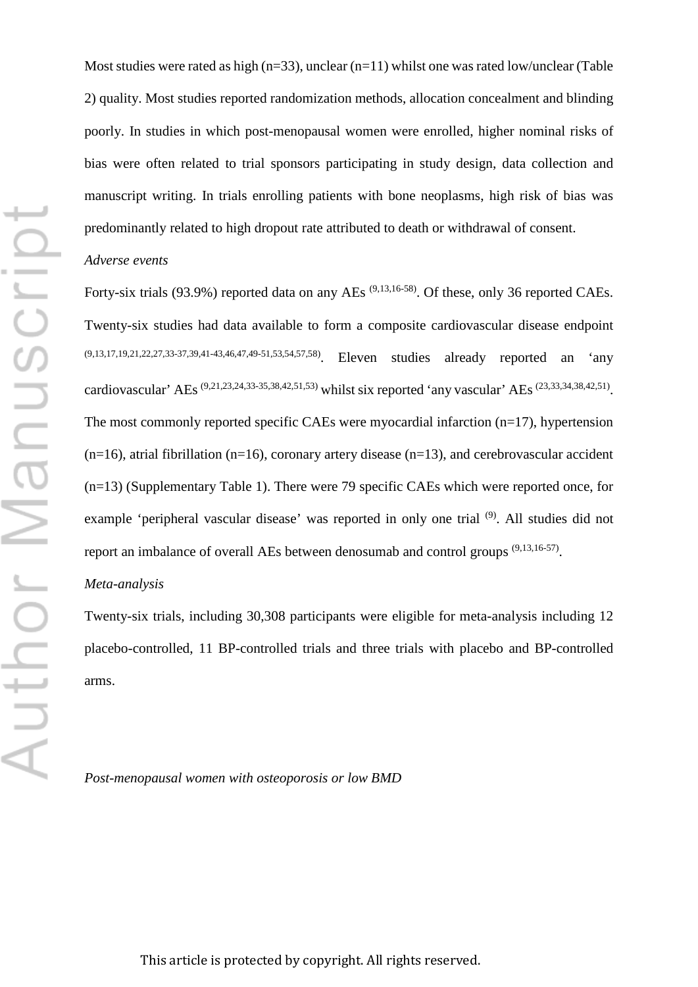Most studies were rated as high  $(n=33)$ , unclear  $(n=11)$  whilst one was rated low/unclear (Table 2) quality. Most studies reported randomization methods, allocation concealment and blinding poorly. In studies in which post-menopausal women were enrolled, higher nominal risks of bias were often related to trial sponsors participating in study design, data collection and manuscript writing. In trials enrolling patients with bone neoplasms, high risk of bias was predominantly related to high dropout rate attributed to death or withdrawal of consent.

#### *Adverse events*

Forty-six trials (93.9%) reported data on any AEs<sup>(9,13,16-58)</sup>. Of these, only 36 reported CAEs. Twenty-six studies had data available to form a composite cardiovascular disease endpoint (9,13,17,19,21,22,27,33-37,39,41-43,46,47,49-51,53,54,57,58). Eleven studies already reported an 'any cardiovascular' AEs (9,21,23,24,33-35,38,42,51,53) whilst six reported 'any vascular' AEs (23,33,34,38,42,51). The most commonly reported specific CAEs were myocardial infarction (n=17), hypertension  $(n=16)$ , atrial fibrillation (n=16), coronary artery disease (n=13), and cerebrovascular accident (n=13) (Supplementary Table 1). There were 79 specific CAEs which were reported once, for example 'peripheral vascular disease' was reported in only one trial <sup>(9)</sup>. All studies did not report an imbalance of overall AEs between denosumab and control groups (9,13,16-57).

# *Meta-analysis*

Twenty-six trials, including 30,308 participants were eligible for meta-analysis including 12 placebo-controlled, 11 BP-controlled trials and three trials with placebo and BP-controlled arms.

*Post-menopausal women with osteoporosis or low BMD*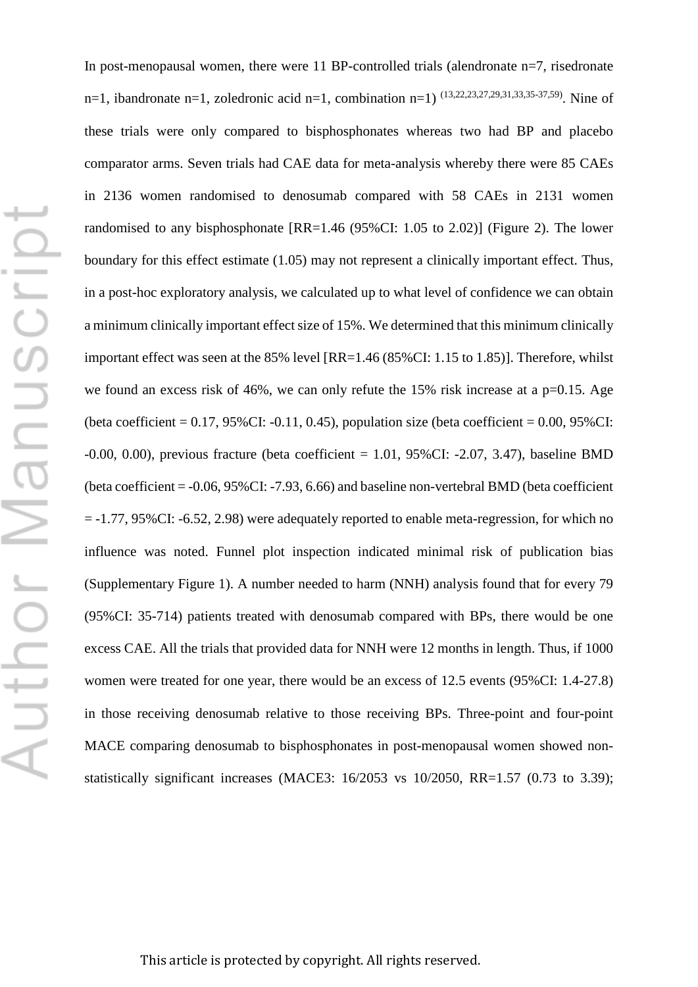In post-menopausal women, there were 11 BP-controlled trials (alendronate n=7, risedronate n=1, ibandronate n=1, zoledronic acid n=1, combination n=1)  $(13,22,23,27,29,31,33,35-37,59)$ . Nine of these trials were only compared to bisphosphonates whereas two had BP and placebo comparator arms. Seven trials had CAE data for meta-analysis whereby there were 85 CAEs in 2136 women randomised to denosumab compared with 58 CAEs in 2131 women randomised to any bisphosphonate [RR=1.46 (95%CI: 1.05 to 2.02)] (Figure 2). The lower boundary for this effect estimate (1.05) may not represent a clinically important effect. Thus, in a post-hoc exploratory analysis, we calculated up to what level of confidence we can obtain a minimum clinically important effect size of 15%. We determined that this minimum clinically important effect was seen at the 85% level [RR=1.46 (85%CI: 1.15 to 1.85)]. Therefore, whilst we found an excess risk of 46%, we can only refute the 15% risk increase at a p=0.15. Age (beta coefficient =  $0.17$ ,  $95\%$ CI:  $-0.11$ ,  $0.45$ ), population size (beta coefficient =  $0.00$ ,  $95\%$ CI: -0.00, 0.00), previous fracture (beta coefficient = 1.01, 95%CI: -2.07, 3.47), baseline BMD (beta coefficient = -0.06, 95%CI: -7.93, 6.66) and baseline non-vertebral BMD (beta coefficient = -1.77, 95%CI: -6.52, 2.98) were adequately reported to enable meta-regression, for which no influence was noted. Funnel plot inspection indicated minimal risk of publication bias (Supplementary Figure 1). A number needed to harm (NNH) analysis found that for every 79 (95%CI: 35-714) patients treated with denosumab compared with BPs, there would be one excess CAE. All the trials that provided data for NNH were 12 months in length. Thus, if 1000 women were treated for one year, there would be an excess of 12.5 events (95%CI: 1.4-27.8) in those receiving denosumab relative to those receiving BPs. Three-point and four-point MACE comparing denosumab to bisphosphonates in post-menopausal women showed nonstatistically significant increases (MACE3: 16/2053 vs 10/2050, RR=1.57 (0.73 to 3.39);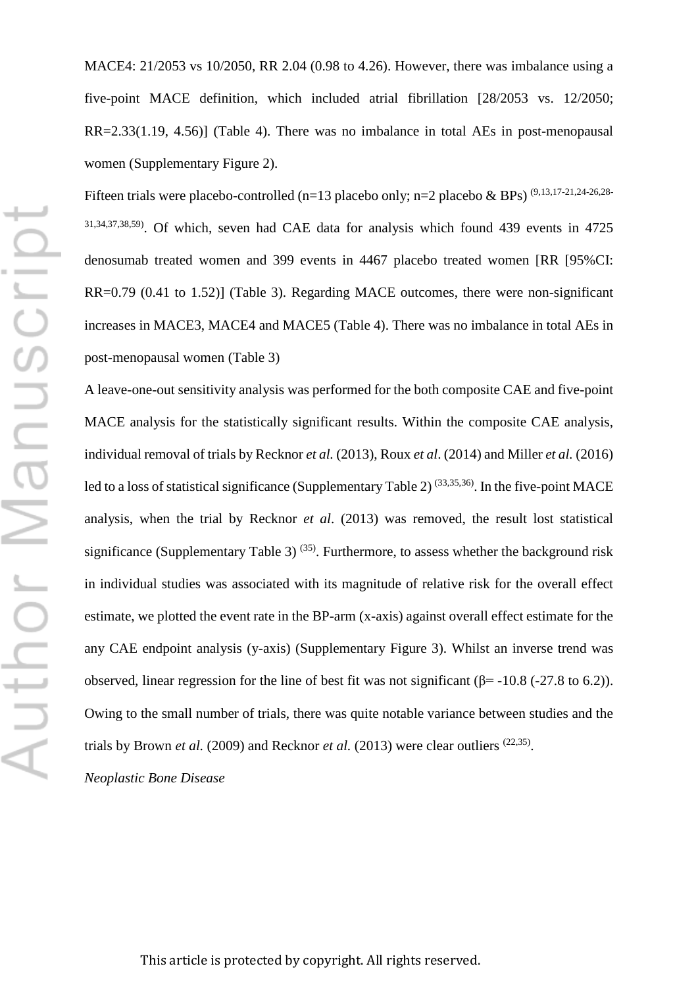MACE4: 21/2053 vs 10/2050, RR 2.04 (0.98 to 4.26). However, there was imbalance using a five-point MACE definition, which included atrial fibrillation [28/2053 vs. 12/2050; RR=2.33(1.19, 4.56)] (Table 4). There was no imbalance in total AEs in post-menopausal women (Supplementary Figure 2).

Fifteen trials were placebo-controlled (n=13 placebo only; n=2 placebo & BPs)  $(9,13,17-21,24-26,28-$ 31,34,37,38,59). Of which, seven had CAE data for analysis which found 439 events in 4725 denosumab treated women and 399 events in 4467 placebo treated women [RR [95%CI: RR=0.79 (0.41 to 1.52)] (Table 3). Regarding MACE outcomes, there were non-significant increases in MACE3, MACE4 and MACE5 (Table 4). There was no imbalance in total AEs in post-menopausal women (Table 3)

A leave-one-out sensitivity analysis was performed for the both composite CAE and five-point MACE analysis for the statistically significant results. Within the composite CAE analysis, individual removal of trials by Recknor *et al.* (2013), Roux *et al*. (2014) and Miller *et al.* (2016) led to a loss of statistical significance (Supplementary Table 2)  $(33,35,36)$ . In the five-point MACE analysis, when the trial by Recknor *et al*. (2013) was removed, the result lost statistical significance (Supplementary Table 3)<sup>(35)</sup>. Furthermore, to assess whether the background risk in individual studies was associated with its magnitude of relative risk for the overall effect estimate, we plotted the event rate in the BP-arm (x-axis) against overall effect estimate for the any CAE endpoint analysis (y-axis) (Supplementary Figure 3). Whilst an inverse trend was observed, linear regression for the line of best fit was not significant (β=  $-10.8$  ( $-27.8$  to 6.2)). Owing to the small number of trials, there was quite notable variance between studies and the trials by Brown *et al.* (2009) and Recknor *et al.* (2013) were clear outliers (22,35).

*Neoplastic Bone Disease*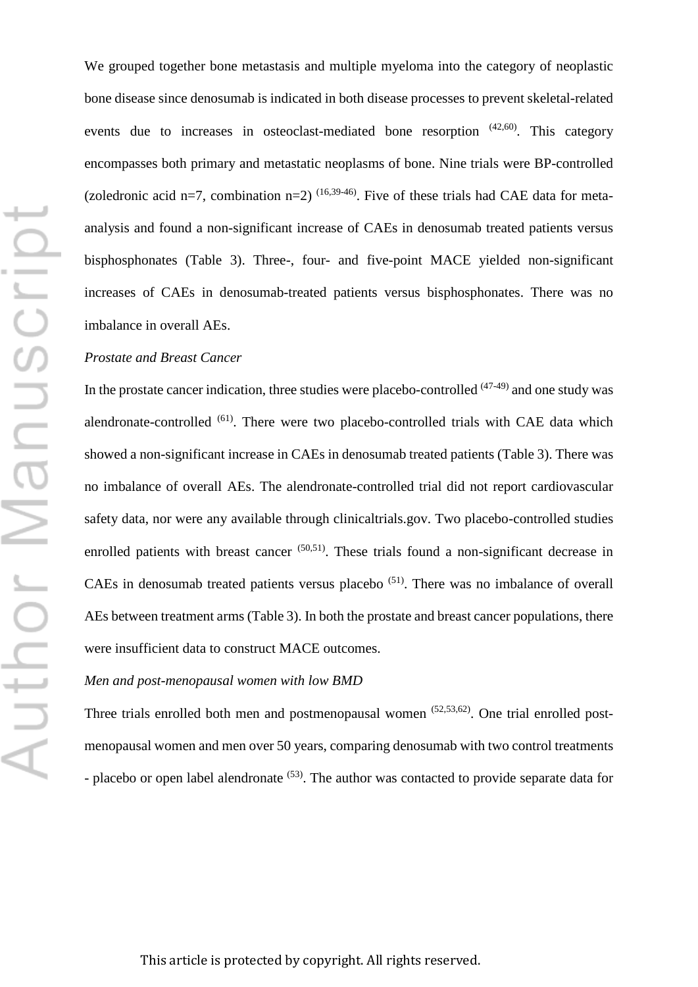We grouped together bone metastasis and multiple myeloma into the category of neoplastic bone disease since denosumab is indicated in both disease processes to prevent skeletal-related events due to increases in osteoclast-mediated bone resorption  $(42,60)$ . This category encompasses both primary and metastatic neoplasms of bone. Nine trials were BP-controlled (zoledronic acid n=7, combination n=2)  $(16,39-46)$ . Five of these trials had CAE data for metaanalysis and found a non-significant increase of CAEs in denosumab treated patients versus bisphosphonates (Table 3). Three-, four- and five-point MACE yielded non-significant increases of CAEs in denosumab-treated patients versus bisphosphonates. There was no imbalance in overall AEs.

### *Prostate and Breast Cancer*

In the prostate cancer indication, three studies were placebo-controlled  $(47-49)$  and one study was alendronate-controlled (61). There were two placebo-controlled trials with CAE data which showed a non-significant increase in CAEs in denosumab treated patients (Table 3). There was no imbalance of overall AEs. The alendronate-controlled trial did not report cardiovascular safety data, nor were any available through clinicaltrials.gov. Two placebo-controlled studies enrolled patients with breast cancer  $(50,51)$ . These trials found a non-significant decrease in CAEs in denosumab treated patients versus placebo (51). There was no imbalance of overall AEs between treatment arms (Table 3). In both the prostate and breast cancer populations, there were insufficient data to construct MACE outcomes.

#### *Men and post-menopausal women with low BMD*

Three trials enrolled both men and postmenopausal women  $(52,53,62)$ . One trial enrolled postmenopausal women and men over 50 years, comparing denosumab with two control treatments - placebo or open label alendronate <sup>(53)</sup>. The author was contacted to provide separate data for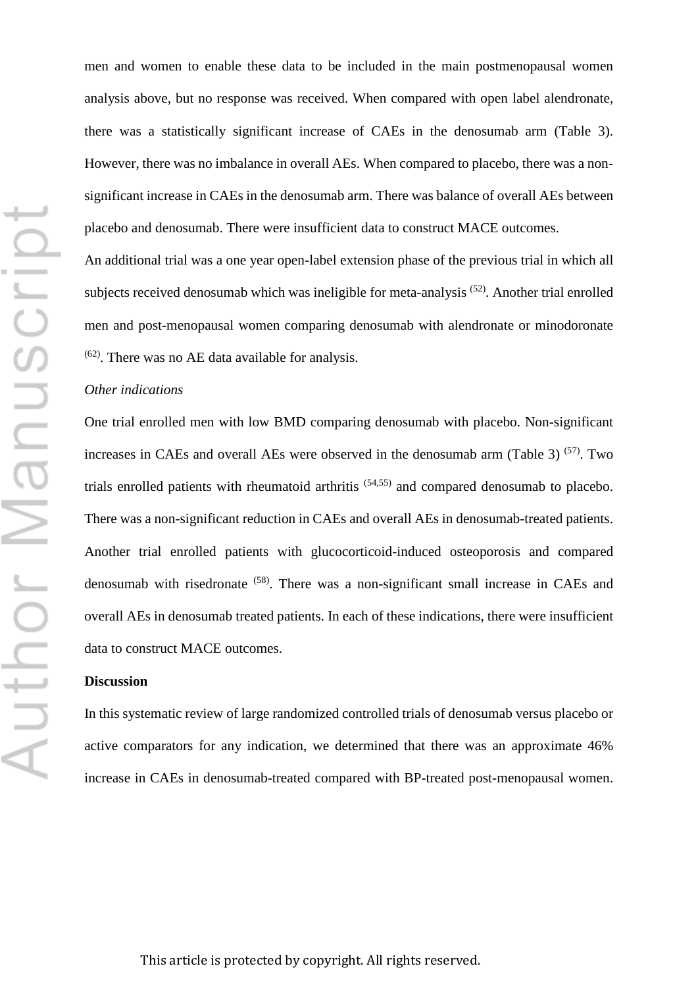Author Manuscript

men and women to enable these data to be included in the main postmenopausal women analysis above, but no response was received. When compared with open label alendronate, there was a statistically significant increase of CAEs in the denosumab arm (Table 3). However, there was no imbalance in overall AEs. When compared to placebo, there was a nonsignificant increase in CAEs in the denosumab arm. There was balance of overall AEs between placebo and denosumab. There were insufficient data to construct MACE outcomes.

An additional trial was a one year open-label extension phase of the previous trial in which all subjects received denosumab which was ineligible for meta-analysis <sup>(52)</sup>. Another trial enrolled men and post-menopausal women comparing denosumab with alendronate or minodoronate (62). There was no AE data available for analysis.

### *Other indications*

One trial enrolled men with low BMD comparing denosumab with placebo. Non-significant increases in CAEs and overall AEs were observed in the denosumab arm (Table 3)  $(57)$ . Two trials enrolled patients with rheumatoid arthritis (54,55) and compared denosumab to placebo. There was a non-significant reduction in CAEs and overall AEs in denosumab-treated patients. Another trial enrolled patients with glucocorticoid-induced osteoporosis and compared denosumab with risedronate (58). There was a non-significant small increase in CAEs and overall AEs in denosumab treated patients. In each of these indications, there were insufficient data to construct MACE outcomes.

#### **Discussion**

In this systematic review of large randomized controlled trials of denosumab versus placebo or active comparators for any indication, we determined that there was an approximate 46% increase in CAEs in denosumab-treated compared with BP-treated post-menopausal women.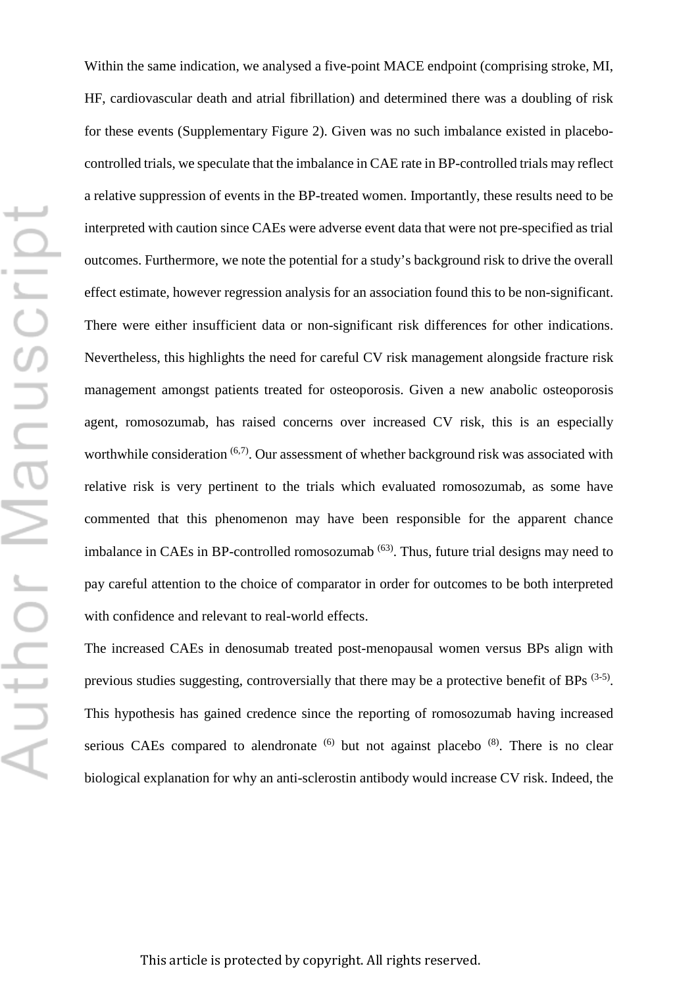Within the same indication, we analysed a five-point MACE endpoint (comprising stroke, MI, HF, cardiovascular death and atrial fibrillation) and determined there was a doubling of risk for these events (Supplementary Figure 2). Given was no such imbalance existed in placebocontrolled trials, we speculate that the imbalance in CAE rate in BP-controlled trials may reflect a relative suppression of events in the BP-treated women. Importantly, these results need to be interpreted with caution since CAEs were adverse event data that were not pre-specified as trial outcomes. Furthermore, we note the potential for a study's background risk to drive the overall effect estimate, however regression analysis for an association found this to be non-significant. There were either insufficient data or non-significant risk differences for other indications. Nevertheless, this highlights the need for careful CV risk management alongside fracture risk management amongst patients treated for osteoporosis. Given a new anabolic osteoporosis agent, romosozumab, has raised concerns over increased CV risk, this is an especially worthwhile consideration  $(6,7)$ . Our assessment of whether background risk was associated with relative risk is very pertinent to the trials which evaluated romosozumab, as some have commented that this phenomenon may have been responsible for the apparent chance imbalance in CAEs in BP-controlled romosozumab<sup>(63)</sup>. Thus, future trial designs may need to pay careful attention to the choice of comparator in order for outcomes to be both interpreted with confidence and relevant to real-world effects.

The increased CAEs in denosumab treated post-menopausal women versus BPs align with previous studies suggesting, controversially that there may be a protective benefit of BPs <sup>(3-5)</sup>. This hypothesis has gained credence since the reporting of romosozumab having increased serious CAEs compared to alendronate  $(6)$  but not against placebo  $(8)$ . There is no clear biological explanation for why an anti-sclerostin antibody would increase CV risk. Indeed, the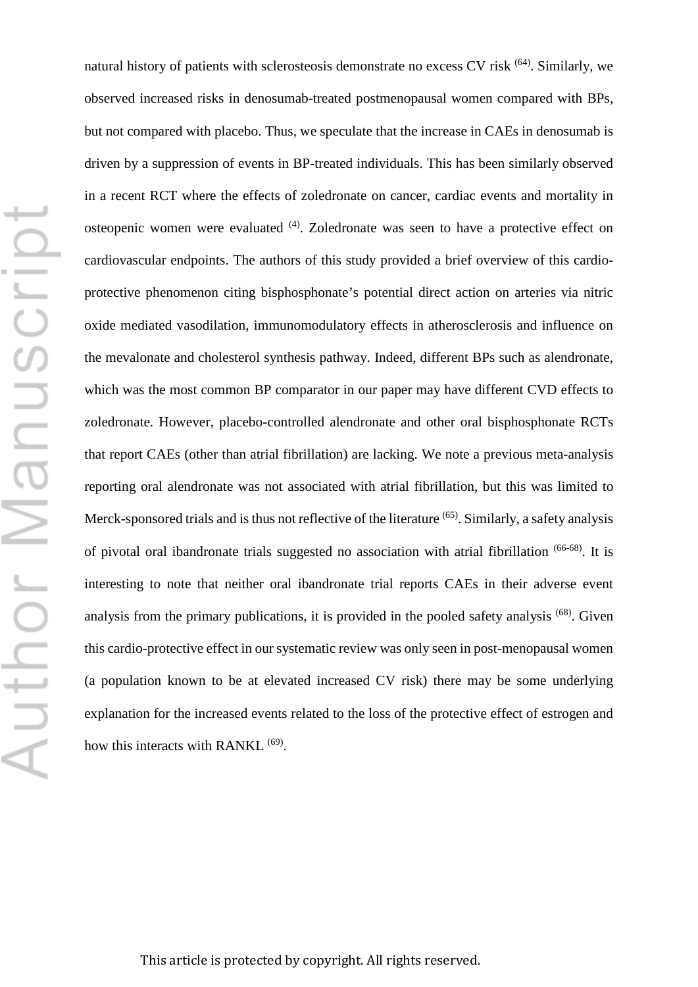natural history of patients with sclerosteosis demonstrate no excess CV risk <sup>(64)</sup>. Similarly, we observed increased risks in denosumab-treated postmenopausal women compared with BPs, but not compared with placebo. Thus, we speculate that the increase in CAEs in denosumab is driven by a suppression of events in BP-treated individuals. This has been similarly observed in a recent RCT where the effects of zoledronate on cancer, cardiac events and mortality in osteopenic women were evaluated (4). Zoledronate was seen to have a protective effect on cardiovascular endpoints. The authors of this study provided a brief overview of this cardioprotective phenomenon citing bisphosphonate's potential direct action on arteries via nitric oxide mediated vasodilation, immunomodulatory effects in atherosclerosis and influence on the mevalonate and cholesterol synthesis pathway. Indeed, different BPs such as alendronate, which was the most common BP comparator in our paper may have different CVD effects to zoledronate. However, placebo-controlled alendronate and other oral bisphosphonate RCTs that report CAEs (other than atrial fibrillation) are lacking. We note a previous meta-analysis reporting oral alendronate was not associated with atrial fibrillation, but this was limited to Merck-sponsored trials and is thus not reflective of the literature <sup>(65)</sup>. Similarly, a safety analysis of pivotal oral ibandronate trials suggested no association with atrial fibrillation (66-68). It is interesting to note that neither oral ibandronate trial reports CAEs in their adverse event analysis from the primary publications, it is provided in the pooled safety analysis (68). Given this cardio-protective effect in our systematic review was only seen in post-menopausal women (a population known to be at elevated increased CV risk) there may be some underlying explanation for the increased events related to the loss of the protective effect of estrogen and how this interacts with RANKL <sup>(69)</sup>.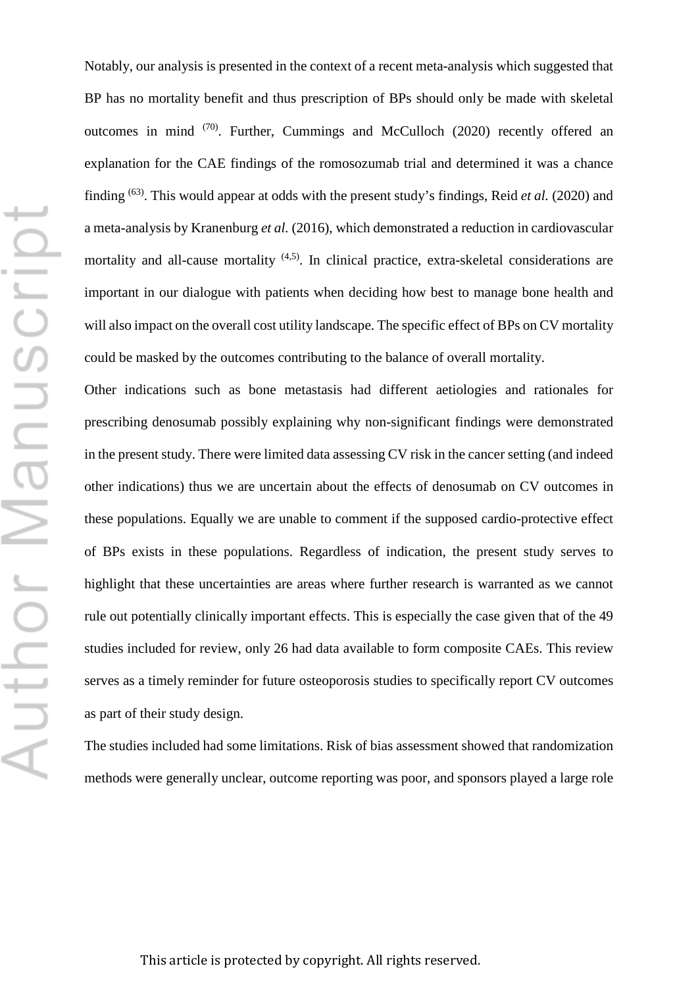Notably, our analysis is presented in the context of a recent meta-analysis which suggested that BP has no mortality benefit and thus prescription of BPs should only be made with skeletal outcomes in mind  $(70)$ . Further, Cummings and McCulloch (2020) recently offered an explanation for the CAE findings of the romosozumab trial and determined it was a chance finding (63). This would appear at odds with the present study's findings, Reid *et al.* (2020) and a meta-analysis by Kranenburg *et al.* (2016), which demonstrated a reduction in cardiovascular mortality and all-cause mortality <sup>(4,5)</sup>. In clinical practice, extra-skeletal considerations are important in our dialogue with patients when deciding how best to manage bone health and will also impact on the overall cost utility landscape. The specific effect of BPs on CV mortality could be masked by the outcomes contributing to the balance of overall mortality.

Other indications such as bone metastasis had different aetiologies and rationales for prescribing denosumab possibly explaining why non-significant findings were demonstrated in the present study. There were limited data assessing CV risk in the cancer setting (and indeed other indications) thus we are uncertain about the effects of denosumab on CV outcomes in these populations. Equally we are unable to comment if the supposed cardio-protective effect of BPs exists in these populations. Regardless of indication, the present study serves to highlight that these uncertainties are areas where further research is warranted as we cannot rule out potentially clinically important effects. This is especially the case given that of the 49 studies included for review, only 26 had data available to form composite CAEs. This review serves as a timely reminder for future osteoporosis studies to specifically report CV outcomes as part of their study design.

The studies included had some limitations. Risk of bias assessment showed that randomization methods were generally unclear, outcome reporting was poor, and sponsors played a large role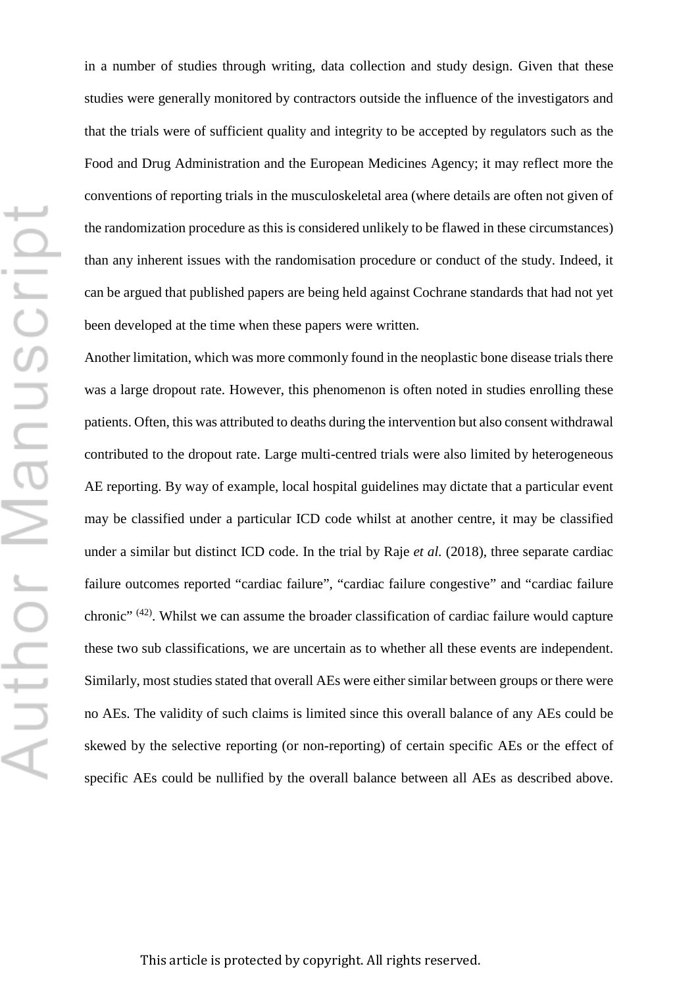in a number of studies through writing, data collection and study design. Given that these studies were generally monitored by contractors outside the influence of the investigators and that the trials were of sufficient quality and integrity to be accepted by regulators such as the Food and Drug Administration and the European Medicines Agency; it may reflect more the conventions of reporting trials in the musculoskeletal area (where details are often not given of the randomization procedure as this is considered unlikely to be flawed in these circumstances) than any inherent issues with the randomisation procedure or conduct of the study. Indeed, it can be argued that published papers are being held against Cochrane standards that had not yet been developed at the time when these papers were written.

Another limitation, which was more commonly found in the neoplastic bone disease trials there was a large dropout rate. However, this phenomenon is often noted in studies enrolling these patients. Often, this was attributed to deaths during the intervention but also consent withdrawal contributed to the dropout rate. Large multi-centred trials were also limited by heterogeneous AE reporting. By way of example, local hospital guidelines may dictate that a particular event may be classified under a particular ICD code whilst at another centre, it may be classified under a similar but distinct ICD code. In the trial by Raje *et al.* (2018), three separate cardiac failure outcomes reported "cardiac failure", "cardiac failure congestive" and "cardiac failure chronic" (42). Whilst we can assume the broader classification of cardiac failure would capture these two sub classifications, we are uncertain as to whether all these events are independent. Similarly, most studies stated that overall AEs were either similar between groups or there were no AEs. The validity of such claims is limited since this overall balance of any AEs could be skewed by the selective reporting (or non-reporting) of certain specific AEs or the effect of specific AEs could be nullified by the overall balance between all AEs as described above.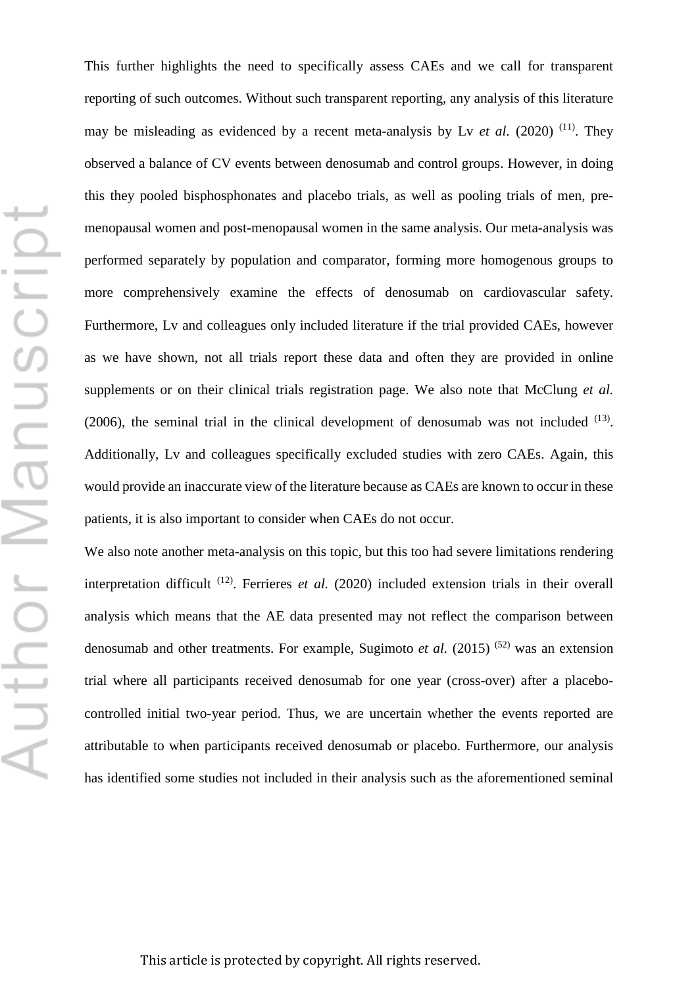This further highlights the need to specifically assess CAEs and we call for transparent reporting of such outcomes. Without such transparent reporting, any analysis of this literature may be misleading as evidenced by a recent meta-analysis by Ly *et al.* (2020)<sup>(11)</sup>. They observed a balance of CV events between denosumab and control groups. However, in doing this they pooled bisphosphonates and placebo trials, as well as pooling trials of men, premenopausal women and post-menopausal women in the same analysis. Our meta-analysis was performed separately by population and comparator, forming more homogenous groups to more comprehensively examine the effects of denosumab on cardiovascular safety. Furthermore, Lv and colleagues only included literature if the trial provided CAEs, however as we have shown, not all trials report these data and often they are provided in online supplements or on their clinical trials registration page. We also note that McClung *et al.*  $(2006)$ , the seminal trial in the clinical development of denosumab was not included  $(13)$ . Additionally, Lv and colleagues specifically excluded studies with zero CAEs. Again, this would provide an inaccurate view of the literature because as CAEs are known to occur in these patients, it is also important to consider when CAEs do not occur.

We also note another meta-analysis on this topic, but this too had severe limitations rendering interpretation difficult (12). Ferrieres *et al.* (2020) included extension trials in their overall analysis which means that the AE data presented may not reflect the comparison between denosumab and other treatments. For example, Sugimoto *et al.* (2015) <sup>(52)</sup> was an extension trial where all participants received denosumab for one year (cross-over) after a placebocontrolled initial two-year period. Thus, we are uncertain whether the events reported are attributable to when participants received denosumab or placebo. Furthermore, our analysis has identified some studies not included in their analysis such as the aforementioned seminal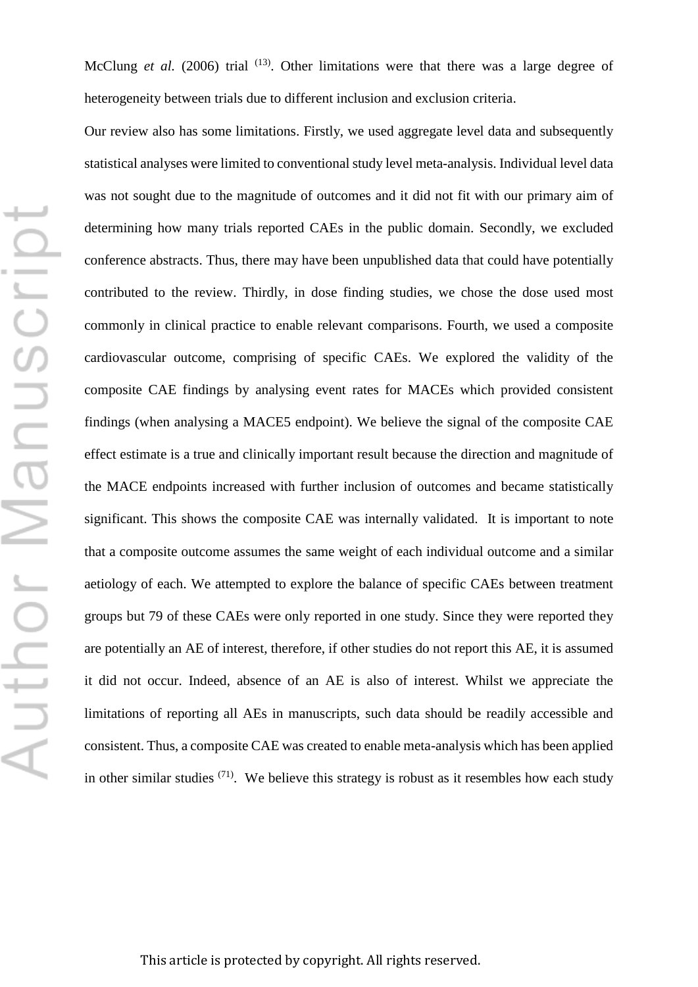McClung *et al.* (2006) trial <sup>(13)</sup>. Other limitations were that there was a large degree of heterogeneity between trials due to different inclusion and exclusion criteria.

Our review also has some limitations. Firstly, we used aggregate level data and subsequently statistical analyses were limited to conventional study level meta-analysis. Individual level data was not sought due to the magnitude of outcomes and it did not fit with our primary aim of determining how many trials reported CAEs in the public domain. Secondly, we excluded conference abstracts. Thus, there may have been unpublished data that could have potentially contributed to the review. Thirdly, in dose finding studies, we chose the dose used most commonly in clinical practice to enable relevant comparisons. Fourth, we used a composite cardiovascular outcome, comprising of specific CAEs. We explored the validity of the composite CAE findings by analysing event rates for MACEs which provided consistent findings (when analysing a MACE5 endpoint). We believe the signal of the composite CAE effect estimate is a true and clinically important result because the direction and magnitude of the MACE endpoints increased with further inclusion of outcomes and became statistically significant. This shows the composite CAE was internally validated. It is important to note that a composite outcome assumes the same weight of each individual outcome and a similar aetiology of each. We attempted to explore the balance of specific CAEs between treatment groups but 79 of these CAEs were only reported in one study. Since they were reported they are potentially an AE of interest, therefore, if other studies do not report this AE, it is assumed it did not occur. Indeed, absence of an AE is also of interest. Whilst we appreciate the limitations of reporting all AEs in manuscripts, such data should be readily accessible and consistent. Thus, a composite CAE was created to enable meta-analysis which has been applied in other similar studies  $(71)$ . We believe this strategy is robust as it resembles how each study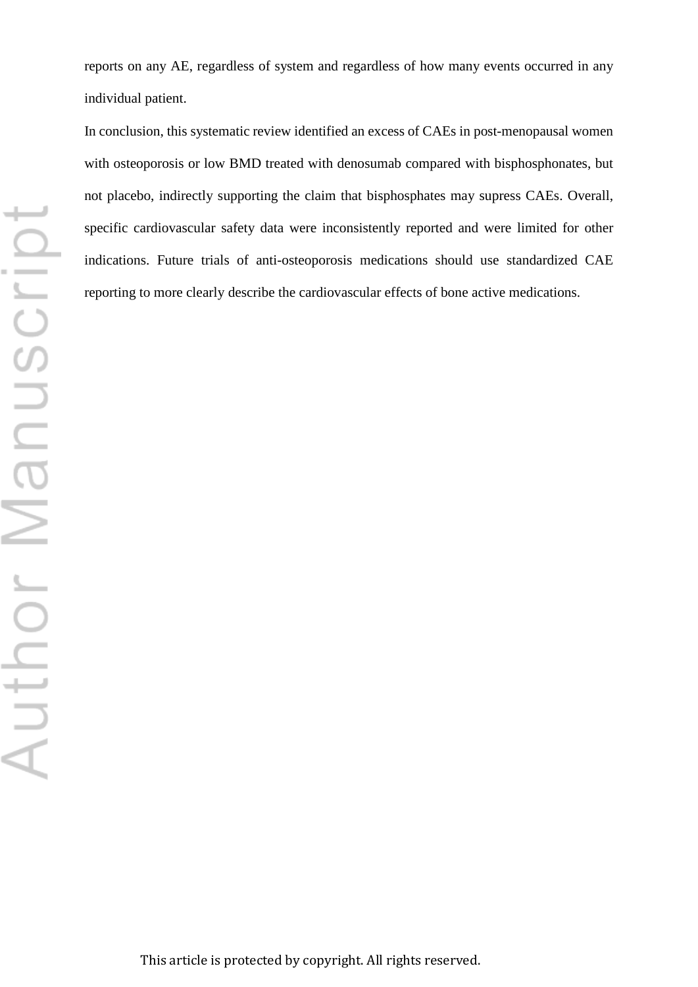reports on any AE, regardless of system and regardless of how many events occurred in any individual patient.

In conclusion, this systematic review identified an excess of CAEs in post-menopausal women with osteoporosis or low BMD treated with denosumab compared with bisphosphonates, but not placebo, indirectly supporting the claim that bisphosphates may supress CAEs. Overall, specific cardiovascular safety data were inconsistently reported and were limited for other indications. Future trials of anti-osteoporosis medications should use standardized CAE reporting to more clearly describe the cardiovascular effects of bone active medications.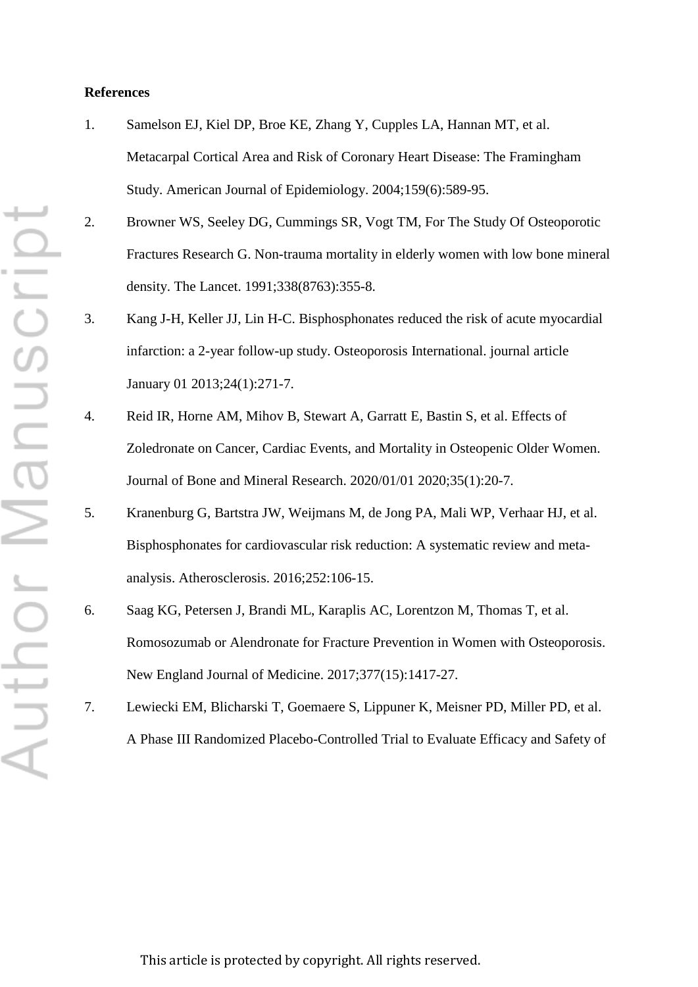#### **References**

- 1. Samelson EJ, Kiel DP, Broe KE, Zhang Y, Cupples LA, Hannan MT, et al. Metacarpal Cortical Area and Risk of Coronary Heart Disease: The Framingham Study. American Journal of Epidemiology. 2004;159(6):589-95.
- 2. Browner WS, Seeley DG, Cummings SR, Vogt TM, For The Study Of Osteoporotic Fractures Research G. Non-trauma mortality in elderly women with low bone mineral density. The Lancet. 1991;338(8763):355-8.
- 3. Kang J-H, Keller JJ, Lin H-C. Bisphosphonates reduced the risk of acute myocardial infarction: a 2-year follow-up study. Osteoporosis International. journal article January 01 2013;24(1):271-7.
- 4. Reid IR, Horne AM, Mihov B, Stewart A, Garratt E, Bastin S, et al. Effects of Zoledronate on Cancer, Cardiac Events, and Mortality in Osteopenic Older Women. Journal of Bone and Mineral Research. 2020/01/01 2020;35(1):20-7.
- 5. Kranenburg G, Bartstra JW, Weijmans M, de Jong PA, Mali WP, Verhaar HJ, et al. Bisphosphonates for cardiovascular risk reduction: A systematic review and metaanalysis. Atherosclerosis. 2016;252:106-15.
- 6. Saag KG, Petersen J, Brandi ML, Karaplis AC, Lorentzon M, Thomas T, et al. Romosozumab or Alendronate for Fracture Prevention in Women with Osteoporosis. New England Journal of Medicine. 2017;377(15):1417-27.
- 7. Lewiecki EM, Blicharski T, Goemaere S, Lippuner K, Meisner PD, Miller PD, et al. A Phase III Randomized Placebo-Controlled Trial to Evaluate Efficacy and Safety of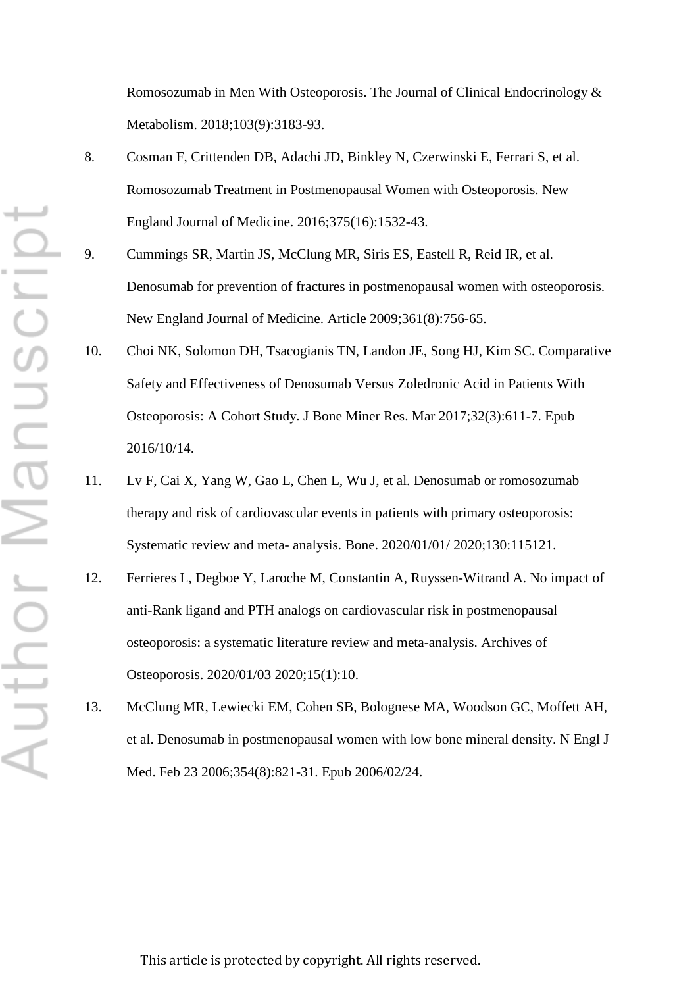Romosozumab in Men With Osteoporosis. The Journal of Clinical Endocrinology & Metabolism. 2018;103(9):3183-93.

- 8. Cosman F, Crittenden DB, Adachi JD, Binkley N, Czerwinski E, Ferrari S, et al. Romosozumab Treatment in Postmenopausal Women with Osteoporosis. New England Journal of Medicine. 2016;375(16):1532-43.
- 9. Cummings SR, Martin JS, McClung MR, Siris ES, Eastell R, Reid IR, et al. Denosumab for prevention of fractures in postmenopausal women with osteoporosis. New England Journal of Medicine. Article 2009;361(8):756-65.
- 10. Choi NK, Solomon DH, Tsacogianis TN, Landon JE, Song HJ, Kim SC. Comparative Safety and Effectiveness of Denosumab Versus Zoledronic Acid in Patients With Osteoporosis: A Cohort Study. J Bone Miner Res. Mar 2017;32(3):611-7. Epub 2016/10/14.
- 11. Lv F, Cai X, Yang W, Gao L, Chen L, Wu J, et al. Denosumab or romosozumab therapy and risk of cardiovascular events in patients with primary osteoporosis: Systematic review and meta- analysis. Bone. 2020/01/01/ 2020;130:115121.
- 12. Ferrieres L, Degboe Y, Laroche M, Constantin A, Ruyssen-Witrand A. No impact of anti-Rank ligand and PTH analogs on cardiovascular risk in postmenopausal osteoporosis: a systematic literature review and meta-analysis. Archives of Osteoporosis. 2020/01/03 2020;15(1):10.
- 13. McClung MR, Lewiecki EM, Cohen SB, Bolognese MA, Woodson GC, Moffett AH, et al. Denosumab in postmenopausal women with low bone mineral density. N Engl J Med. Feb 23 2006;354(8):821-31. Epub 2006/02/24.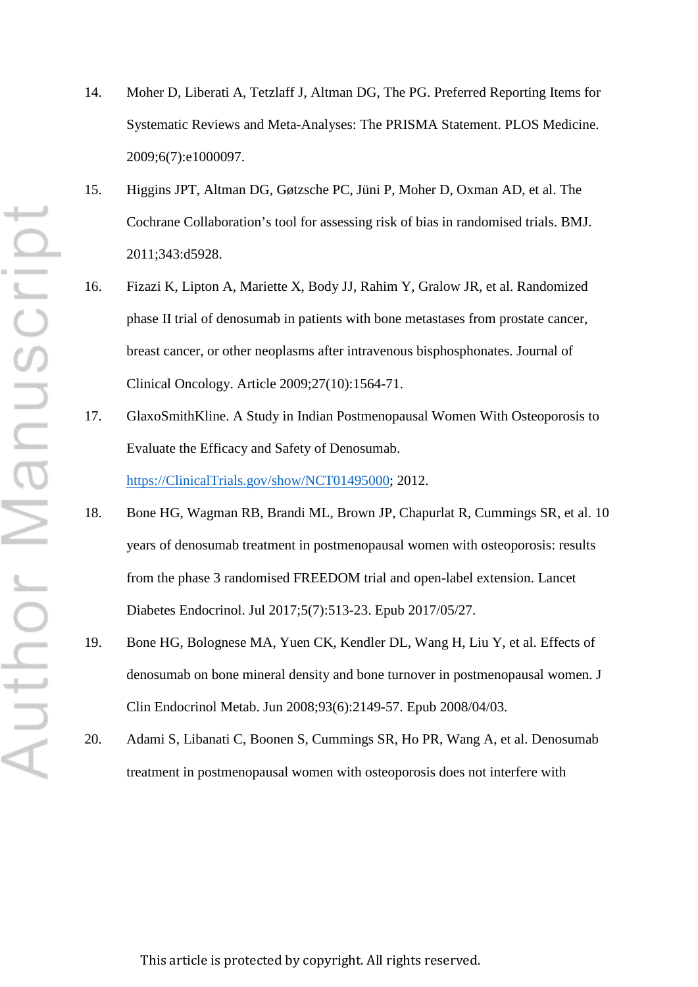- ⊢ Author Manuscrip
- 14. Moher D, Liberati A, Tetzlaff J, Altman DG, The PG. Preferred Reporting Items for Systematic Reviews and Meta-Analyses: The PRISMA Statement. PLOS Medicine. 2009;6(7):e1000097.
- 15. Higgins JPT, Altman DG, Gøtzsche PC, Jüni P, Moher D, Oxman AD, et al. The Cochrane Collaboration's tool for assessing risk of bias in randomised trials. BMJ. 2011;343:d5928.
- 16. Fizazi K, Lipton A, Mariette X, Body JJ, Rahim Y, Gralow JR, et al. Randomized phase II trial of denosumab in patients with bone metastases from prostate cancer, breast cancer, or other neoplasms after intravenous bisphosphonates. Journal of Clinical Oncology. Article 2009;27(10):1564-71.
- 17. GlaxoSmithKline. A Study in Indian Postmenopausal Women With Osteoporosis to Evaluate the Efficacy and Safety of Denosumab. [https://ClinicalTrials.gov/show/NCT01495000;](https://clinicaltrials.gov/show/NCT01495000) 2012.
- 18. Bone HG, Wagman RB, Brandi ML, Brown JP, Chapurlat R, Cummings SR, et al. 10 years of denosumab treatment in postmenopausal women with osteoporosis: results from the phase 3 randomised FREEDOM trial and open-label extension. Lancet Diabetes Endocrinol. Jul 2017;5(7):513-23. Epub 2017/05/27.
- 19. Bone HG, Bolognese MA, Yuen CK, Kendler DL, Wang H, Liu Y, et al. Effects of denosumab on bone mineral density and bone turnover in postmenopausal women. J Clin Endocrinol Metab. Jun 2008;93(6):2149-57. Epub 2008/04/03.
- 20. Adami S, Libanati C, Boonen S, Cummings SR, Ho PR, Wang A, et al. Denosumab treatment in postmenopausal women with osteoporosis does not interfere with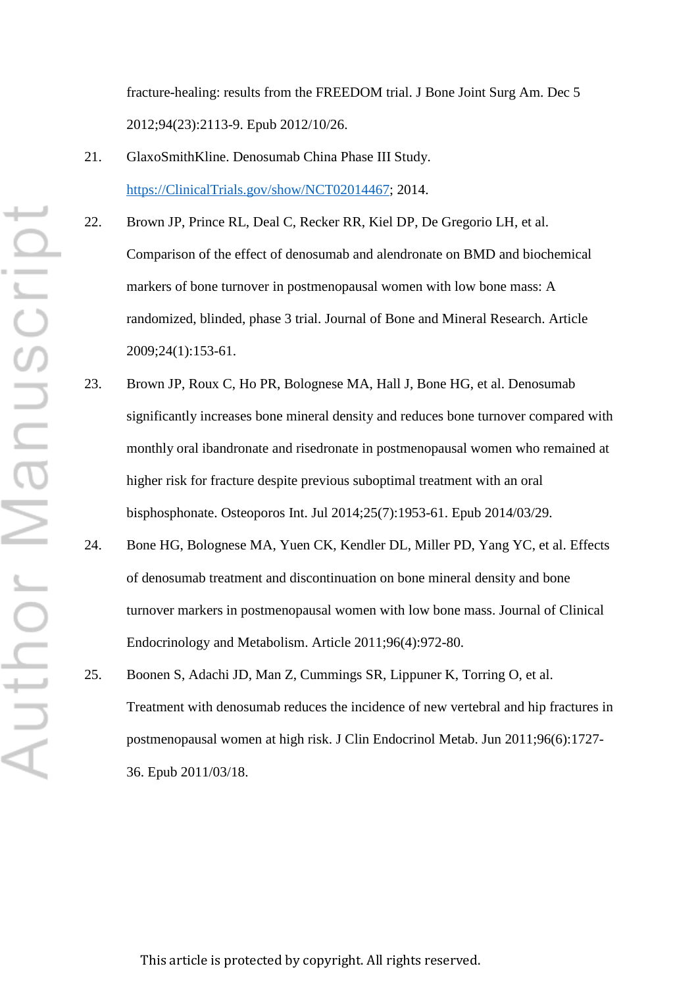fracture-healing: results from the FREEDOM trial. J Bone Joint Surg Am. Dec 5 2012;94(23):2113-9. Epub 2012/10/26.

- 21. GlaxoSmithKline. Denosumab China Phase III Study. [https://ClinicalTrials.gov/show/NCT02014467;](https://clinicaltrials.gov/show/NCT02014467) 2014.
- 22. Brown JP, Prince RL, Deal C, Recker RR, Kiel DP, De Gregorio LH, et al. Comparison of the effect of denosumab and alendronate on BMD and biochemical markers of bone turnover in postmenopausal women with low bone mass: A randomized, blinded, phase 3 trial. Journal of Bone and Mineral Research. Article 2009;24(1):153-61.
- 23. Brown JP, Roux C, Ho PR, Bolognese MA, Hall J, Bone HG, et al. Denosumab significantly increases bone mineral density and reduces bone turnover compared with monthly oral ibandronate and risedronate in postmenopausal women who remained at higher risk for fracture despite previous suboptimal treatment with an oral bisphosphonate. Osteoporos Int. Jul 2014;25(7):1953-61. Epub 2014/03/29.
- 24. Bone HG, Bolognese MA, Yuen CK, Kendler DL, Miller PD, Yang YC, et al. Effects of denosumab treatment and discontinuation on bone mineral density and bone turnover markers in postmenopausal women with low bone mass. Journal of Clinical Endocrinology and Metabolism. Article 2011;96(4):972-80.
- 25. Boonen S, Adachi JD, Man Z, Cummings SR, Lippuner K, Torring O, et al. Treatment with denosumab reduces the incidence of new vertebral and hip fractures in postmenopausal women at high risk. J Clin Endocrinol Metab. Jun 2011;96(6):1727- 36. Epub 2011/03/18.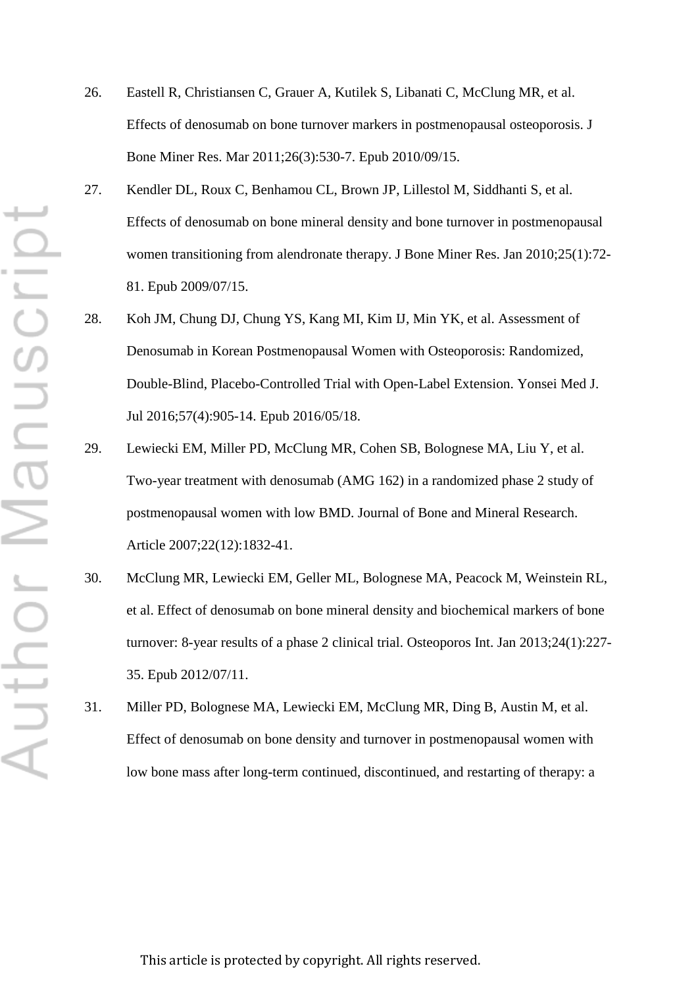- ⊢ Author Manuscrip
- 26. Eastell R, Christiansen C, Grauer A, Kutilek S, Libanati C, McClung MR, et al. Effects of denosumab on bone turnover markers in postmenopausal osteoporosis. J Bone Miner Res. Mar 2011;26(3):530-7. Epub 2010/09/15.
- 27. Kendler DL, Roux C, Benhamou CL, Brown JP, Lillestol M, Siddhanti S, et al. Effects of denosumab on bone mineral density and bone turnover in postmenopausal women transitioning from alendronate therapy. J Bone Miner Res. Jan 2010;25(1):72- 81. Epub 2009/07/15.
- 28. Koh JM, Chung DJ, Chung YS, Kang MI, Kim IJ, Min YK, et al. Assessment of Denosumab in Korean Postmenopausal Women with Osteoporosis: Randomized, Double-Blind, Placebo-Controlled Trial with Open-Label Extension. Yonsei Med J. Jul 2016;57(4):905-14. Epub 2016/05/18.
- 29. Lewiecki EM, Miller PD, McClung MR, Cohen SB, Bolognese MA, Liu Y, et al. Two-year treatment with denosumab (AMG 162) in a randomized phase 2 study of postmenopausal women with low BMD. Journal of Bone and Mineral Research. Article 2007;22(12):1832-41.
- 30. McClung MR, Lewiecki EM, Geller ML, Bolognese MA, Peacock M, Weinstein RL, et al. Effect of denosumab on bone mineral density and biochemical markers of bone turnover: 8-year results of a phase 2 clinical trial. Osteoporos Int. Jan 2013;24(1):227- 35. Epub 2012/07/11.
- 31. Miller PD, Bolognese MA, Lewiecki EM, McClung MR, Ding B, Austin M, et al. Effect of denosumab on bone density and turnover in postmenopausal women with low bone mass after long-term continued, discontinued, and restarting of therapy: a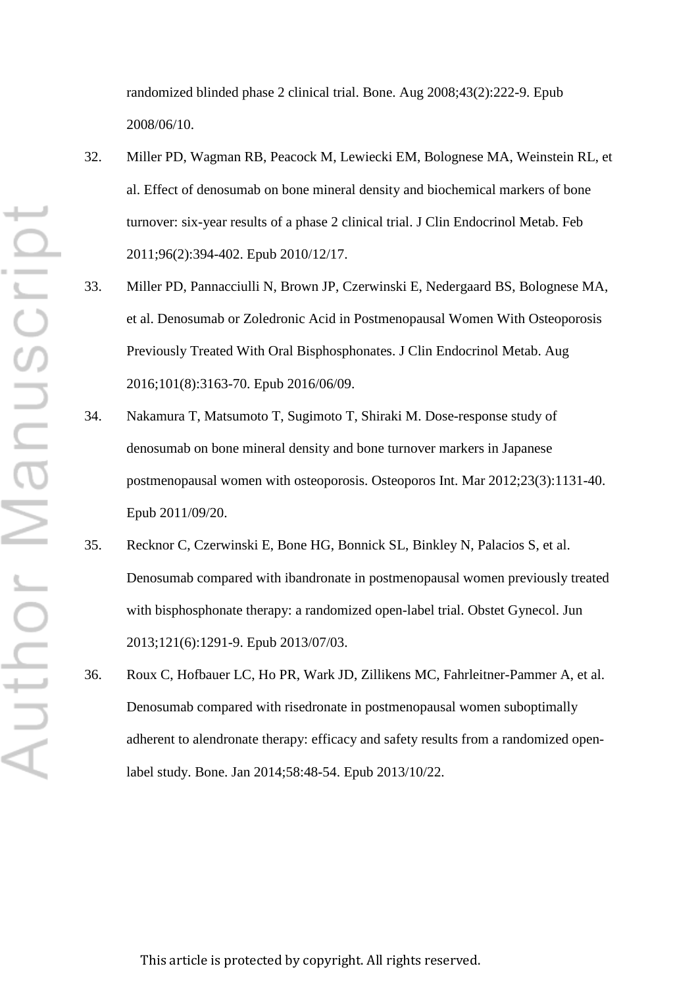randomized blinded phase 2 clinical trial. Bone. Aug 2008;43(2):222-9. Epub 2008/06/10.

- 32. Miller PD, Wagman RB, Peacock M, Lewiecki EM, Bolognese MA, Weinstein RL, et al. Effect of denosumab on bone mineral density and biochemical markers of bone turnover: six-year results of a phase 2 clinical trial. J Clin Endocrinol Metab. Feb 2011;96(2):394-402. Epub 2010/12/17.
- 33. Miller PD, Pannacciulli N, Brown JP, Czerwinski E, Nedergaard BS, Bolognese MA, et al. Denosumab or Zoledronic Acid in Postmenopausal Women With Osteoporosis Previously Treated With Oral Bisphosphonates. J Clin Endocrinol Metab. Aug 2016;101(8):3163-70. Epub 2016/06/09.
- 34. Nakamura T, Matsumoto T, Sugimoto T, Shiraki M. Dose-response study of denosumab on bone mineral density and bone turnover markers in Japanese postmenopausal women with osteoporosis. Osteoporos Int. Mar 2012;23(3):1131-40. Epub 2011/09/20.
- 35. Recknor C, Czerwinski E, Bone HG, Bonnick SL, Binkley N, Palacios S, et al. Denosumab compared with ibandronate in postmenopausal women previously treated with bisphosphonate therapy: a randomized open-label trial. Obstet Gynecol. Jun 2013;121(6):1291-9. Epub 2013/07/03.
- 36. Roux C, Hofbauer LC, Ho PR, Wark JD, Zillikens MC, Fahrleitner-Pammer A, et al. Denosumab compared with risedronate in postmenopausal women suboptimally adherent to alendronate therapy: efficacy and safety results from a randomized openlabel study. Bone. Jan 2014;58:48-54. Epub 2013/10/22.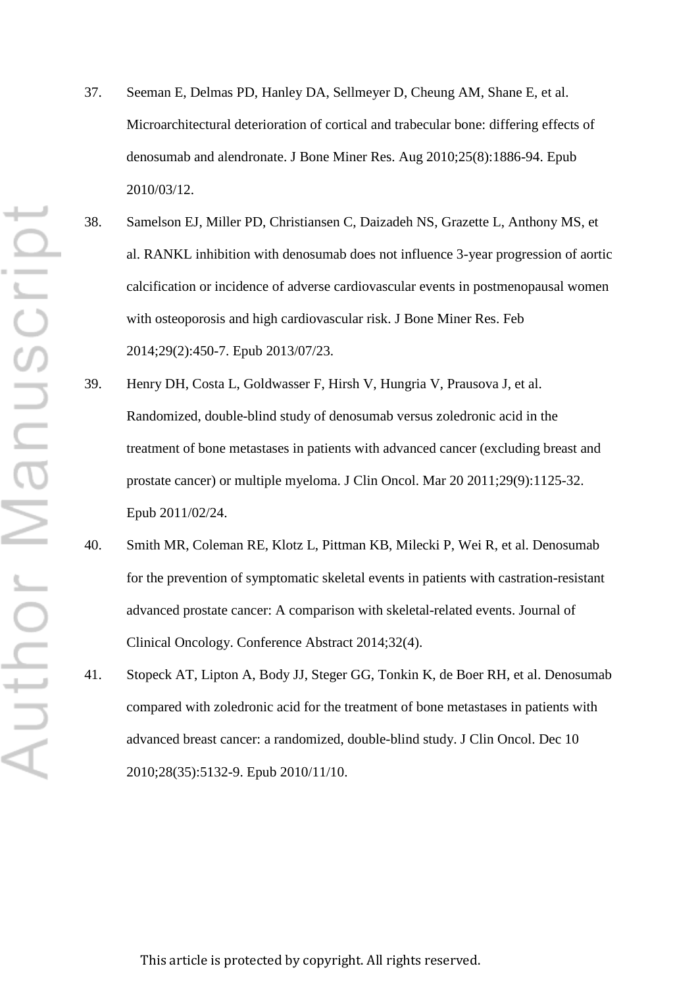- 37. Seeman E, Delmas PD, Hanley DA, Sellmeyer D, Cheung AM, Shane E, et al. Microarchitectural deterioration of cortical and trabecular bone: differing effects of denosumab and alendronate. J Bone Miner Res. Aug 2010;25(8):1886-94. Epub 2010/03/12.
- 38. Samelson EJ, Miller PD, Christiansen C, Daizadeh NS, Grazette L, Anthony MS, et al. RANKL inhibition with denosumab does not influence 3-year progression of aortic calcification or incidence of adverse cardiovascular events in postmenopausal women with osteoporosis and high cardiovascular risk. J Bone Miner Res. Feb 2014;29(2):450-7. Epub 2013/07/23.
- 39. Henry DH, Costa L, Goldwasser F, Hirsh V, Hungria V, Prausova J, et al. Randomized, double-blind study of denosumab versus zoledronic acid in the treatment of bone metastases in patients with advanced cancer (excluding breast and prostate cancer) or multiple myeloma. J Clin Oncol. Mar 20 2011;29(9):1125-32. Epub 2011/02/24.
- 40. Smith MR, Coleman RE, Klotz L, Pittman KB, Milecki P, Wei R, et al. Denosumab for the prevention of symptomatic skeletal events in patients with castration-resistant advanced prostate cancer: A comparison with skeletal-related events. Journal of Clinical Oncology. Conference Abstract 2014;32(4).
- 41. Stopeck AT, Lipton A, Body JJ, Steger GG, Tonkin K, de Boer RH, et al. Denosumab compared with zoledronic acid for the treatment of bone metastases in patients with advanced breast cancer: a randomized, double-blind study. J Clin Oncol. Dec 10 2010;28(35):5132-9. Epub 2010/11/10.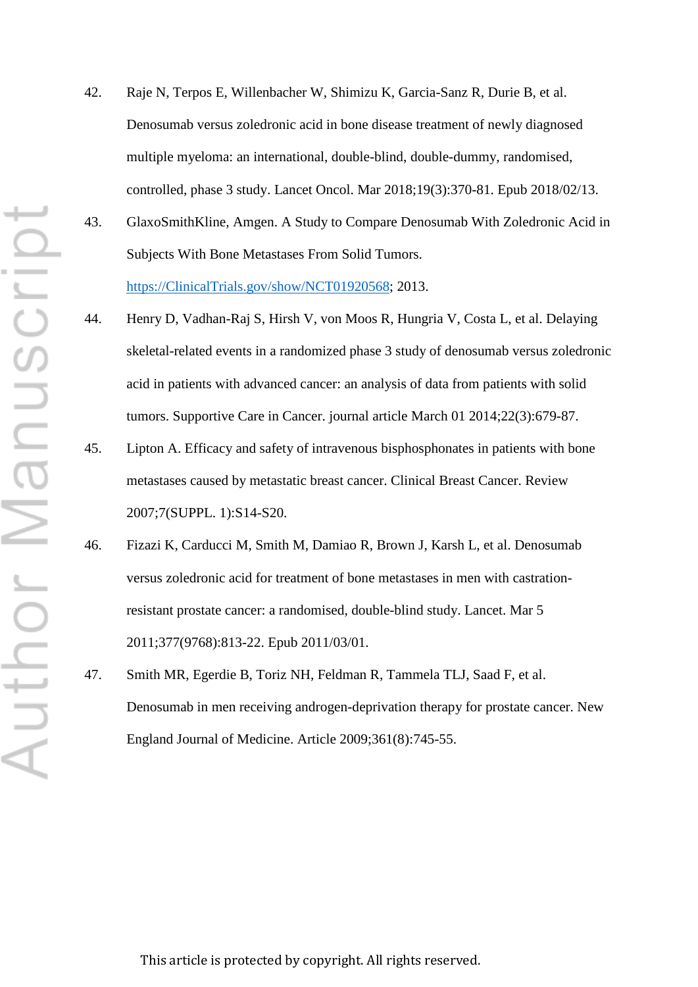- Author Manuscript
- 42. Raje N, Terpos E, Willenbacher W, Shimizu K, Garcia-Sanz R, Durie B, et al. Denosumab versus zoledronic acid in bone disease treatment of newly diagnosed multiple myeloma: an international, double-blind, double-dummy, randomised, controlled, phase 3 study. Lancet Oncol. Mar 2018;19(3):370-81. Epub 2018/02/13.
- 43. GlaxoSmithKline, Amgen. A Study to Compare Denosumab With Zoledronic Acid in Subjects With Bone Metastases From Solid Tumors. [https://ClinicalTrials.gov/show/NCT01920568;](https://clinicaltrials.gov/show/NCT01920568) 2013.
- 44. Henry D, Vadhan-Raj S, Hirsh V, von Moos R, Hungria V, Costa L, et al. Delaying skeletal-related events in a randomized phase 3 study of denosumab versus zoledronic acid in patients with advanced cancer: an analysis of data from patients with solid tumors. Supportive Care in Cancer. journal article March 01 2014;22(3):679-87.
- 45. Lipton A. Efficacy and safety of intravenous bisphosphonates in patients with bone metastases caused by metastatic breast cancer. Clinical Breast Cancer. Review 2007;7(SUPPL. 1):S14-S20.
- 46. Fizazi K, Carducci M, Smith M, Damiao R, Brown J, Karsh L, et al. Denosumab versus zoledronic acid for treatment of bone metastases in men with castrationresistant prostate cancer: a randomised, double-blind study. Lancet. Mar 5 2011;377(9768):813-22. Epub 2011/03/01.
- 47. Smith MR, Egerdie B, Toriz NH, Feldman R, Tammela TLJ, Saad F, et al. Denosumab in men receiving androgen-deprivation therapy for prostate cancer. New England Journal of Medicine. Article 2009;361(8):745-55.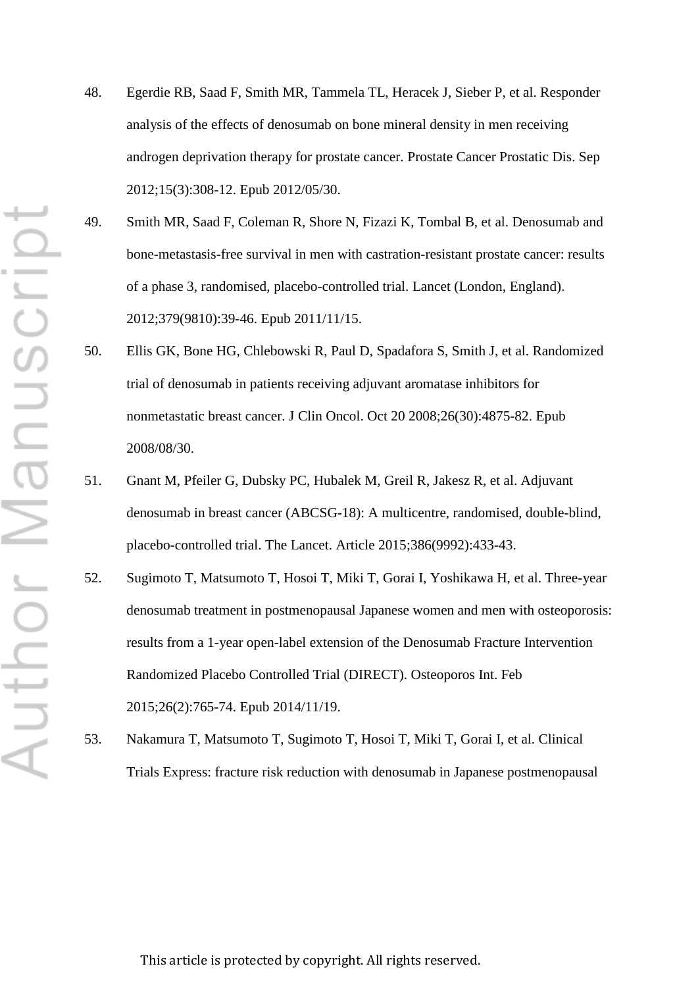- Author Manuscrip
- 48. Egerdie RB, Saad F, Smith MR, Tammela TL, Heracek J, Sieber P, et al. Responder analysis of the effects of denosumab on bone mineral density in men receiving androgen deprivation therapy for prostate cancer. Prostate Cancer Prostatic Dis. Sep 2012;15(3):308-12. Epub 2012/05/30.
- 49. Smith MR, Saad F, Coleman R, Shore N, Fizazi K, Tombal B, et al. Denosumab and bone-metastasis-free survival in men with castration-resistant prostate cancer: results of a phase 3, randomised, placebo-controlled trial. Lancet (London, England). 2012;379(9810):39-46. Epub 2011/11/15.
- 50. Ellis GK, Bone HG, Chlebowski R, Paul D, Spadafora S, Smith J, et al. Randomized trial of denosumab in patients receiving adjuvant aromatase inhibitors for nonmetastatic breast cancer. J Clin Oncol. Oct 20 2008;26(30):4875-82. Epub 2008/08/30.
- 51. Gnant M, Pfeiler G, Dubsky PC, Hubalek M, Greil R, Jakesz R, et al. Adjuvant denosumab in breast cancer (ABCSG-18): A multicentre, randomised, double-blind, placebo-controlled trial. The Lancet. Article 2015;386(9992):433-43.
- 52. Sugimoto T, Matsumoto T, Hosoi T, Miki T, Gorai I, Yoshikawa H, et al. Three-year denosumab treatment in postmenopausal Japanese women and men with osteoporosis: results from a 1-year open-label extension of the Denosumab Fracture Intervention Randomized Placebo Controlled Trial (DIRECT). Osteoporos Int. Feb 2015;26(2):765-74. Epub 2014/11/19.
- 53. Nakamura T, Matsumoto T, Sugimoto T, Hosoi T, Miki T, Gorai I, et al. Clinical Trials Express: fracture risk reduction with denosumab in Japanese postmenopausal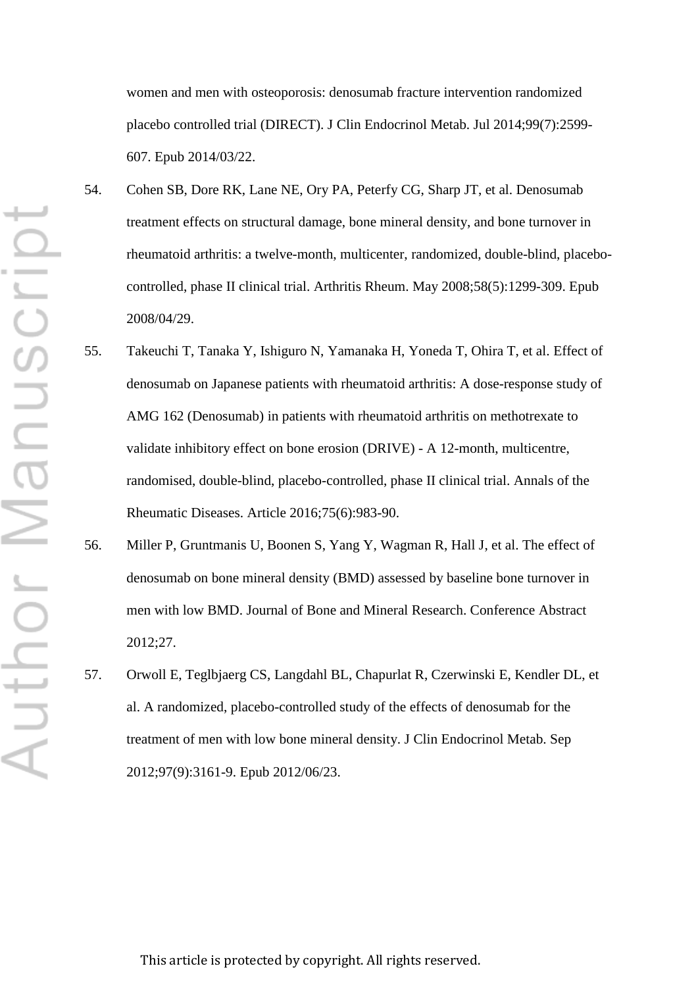women and men with osteoporosis: denosumab fracture intervention randomized placebo controlled trial (DIRECT). J Clin Endocrinol Metab. Jul 2014;99(7):2599- 607. Epub 2014/03/22.

- 54. Cohen SB, Dore RK, Lane NE, Ory PA, Peterfy CG, Sharp JT, et al. Denosumab treatment effects on structural damage, bone mineral density, and bone turnover in rheumatoid arthritis: a twelve-month, multicenter, randomized, double-blind, placebocontrolled, phase II clinical trial. Arthritis Rheum. May 2008;58(5):1299-309. Epub 2008/04/29.
- 55. Takeuchi T, Tanaka Y, Ishiguro N, Yamanaka H, Yoneda T, Ohira T, et al. Effect of denosumab on Japanese patients with rheumatoid arthritis: A dose-response study of AMG 162 (Denosumab) in patients with rheumatoid arthritis on methotrexate to validate inhibitory effect on bone erosion (DRIVE) - A 12-month, multicentre, randomised, double-blind, placebo-controlled, phase II clinical trial. Annals of the Rheumatic Diseases. Article 2016;75(6):983-90.
- 56. Miller P, Gruntmanis U, Boonen S, Yang Y, Wagman R, Hall J, et al. The effect of denosumab on bone mineral density (BMD) assessed by baseline bone turnover in men with low BMD. Journal of Bone and Mineral Research. Conference Abstract 2012;27.
- 57. Orwoll E, Teglbjaerg CS, Langdahl BL, Chapurlat R, Czerwinski E, Kendler DL, et al. A randomized, placebo-controlled study of the effects of denosumab for the treatment of men with low bone mineral density. J Clin Endocrinol Metab. Sep 2012;97(9):3161-9. Epub 2012/06/23.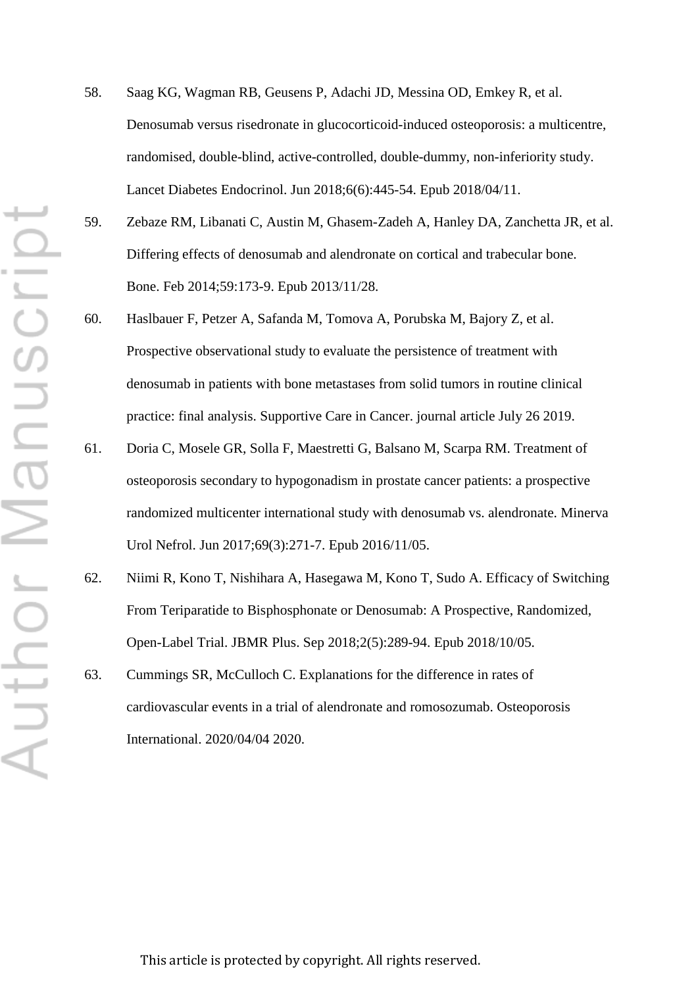- 58. Saag KG, Wagman RB, Geusens P, Adachi JD, Messina OD, Emkey R, et al. Denosumab versus risedronate in glucocorticoid-induced osteoporosis: a multicentre, randomised, double-blind, active-controlled, double-dummy, non-inferiority study. Lancet Diabetes Endocrinol. Jun 2018;6(6):445-54. Epub 2018/04/11.
- 59. Zebaze RM, Libanati C, Austin M, Ghasem-Zadeh A, Hanley DA, Zanchetta JR, et al. Differing effects of denosumab and alendronate on cortical and trabecular bone. Bone. Feb 2014;59:173-9. Epub 2013/11/28.
- 60. Haslbauer F, Petzer A, Safanda M, Tomova A, Porubska M, Bajory Z, et al. Prospective observational study to evaluate the persistence of treatment with denosumab in patients with bone metastases from solid tumors in routine clinical practice: final analysis. Supportive Care in Cancer. journal article July 26 2019.
- 61. Doria C, Mosele GR, Solla F, Maestretti G, Balsano M, Scarpa RM. Treatment of osteoporosis secondary to hypogonadism in prostate cancer patients: a prospective randomized multicenter international study with denosumab vs. alendronate. Minerva Urol Nefrol. Jun 2017;69(3):271-7. Epub 2016/11/05.
- 62. Niimi R, Kono T, Nishihara A, Hasegawa M, Kono T, Sudo A. Efficacy of Switching From Teriparatide to Bisphosphonate or Denosumab: A Prospective, Randomized, Open-Label Trial. JBMR Plus. Sep 2018;2(5):289-94. Epub 2018/10/05.
- 63. Cummings SR, McCulloch C. Explanations for the difference in rates of cardiovascular events in a trial of alendronate and romosozumab. Osteoporosis International. 2020/04/04 2020.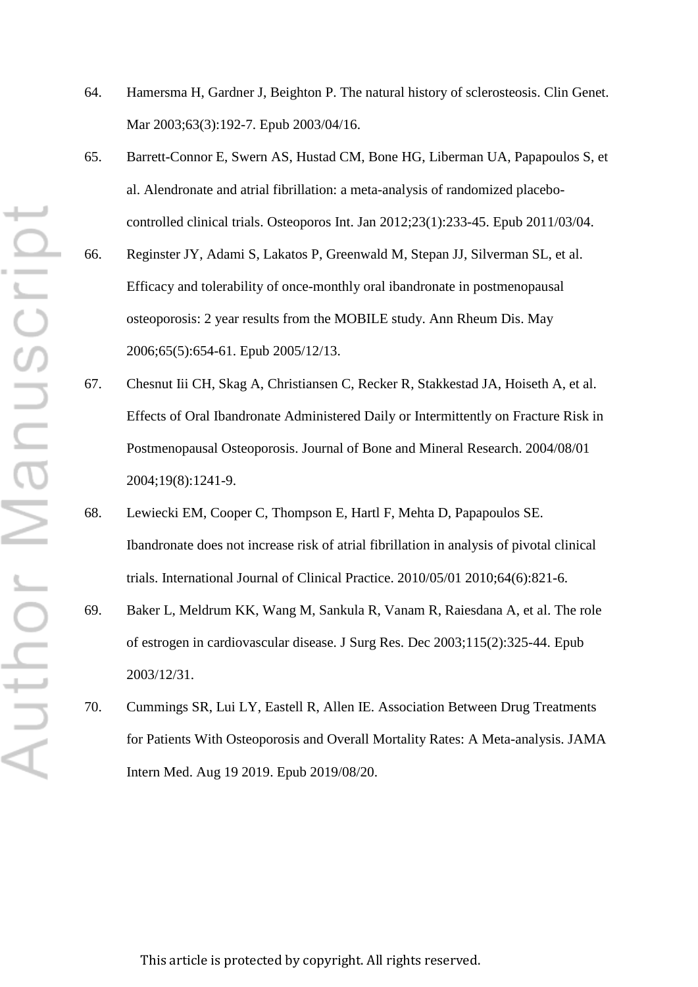- ⊢ Author Manuscrip
- 64. Hamersma H, Gardner J, Beighton P. The natural history of sclerosteosis. Clin Genet. Mar 2003;63(3):192-7. Epub 2003/04/16.
- 65. Barrett-Connor E, Swern AS, Hustad CM, Bone HG, Liberman UA, Papapoulos S, et al. Alendronate and atrial fibrillation: a meta-analysis of randomized placebocontrolled clinical trials. Osteoporos Int. Jan 2012;23(1):233-45. Epub 2011/03/04.
- 66. Reginster JY, Adami S, Lakatos P, Greenwald M, Stepan JJ, Silverman SL, et al. Efficacy and tolerability of once-monthly oral ibandronate in postmenopausal osteoporosis: 2 year results from the MOBILE study. Ann Rheum Dis. May 2006;65(5):654-61. Epub 2005/12/13.
- 67. Chesnut Iii CH, Skag A, Christiansen C, Recker R, Stakkestad JA, Hoiseth A, et al. Effects of Oral Ibandronate Administered Daily or Intermittently on Fracture Risk in Postmenopausal Osteoporosis. Journal of Bone and Mineral Research. 2004/08/01 2004;19(8):1241-9.
- 68. Lewiecki EM, Cooper C, Thompson E, Hartl F, Mehta D, Papapoulos SE. Ibandronate does not increase risk of atrial fibrillation in analysis of pivotal clinical trials. International Journal of Clinical Practice. 2010/05/01 2010;64(6):821-6.
- 69. Baker L, Meldrum KK, Wang M, Sankula R, Vanam R, Raiesdana A, et al. The role of estrogen in cardiovascular disease. J Surg Res. Dec 2003;115(2):325-44. Epub 2003/12/31.
- 70. Cummings SR, Lui LY, Eastell R, Allen IE. Association Between Drug Treatments for Patients With Osteoporosis and Overall Mortality Rates: A Meta-analysis. JAMA Intern Med. Aug 19 2019. Epub 2019/08/20.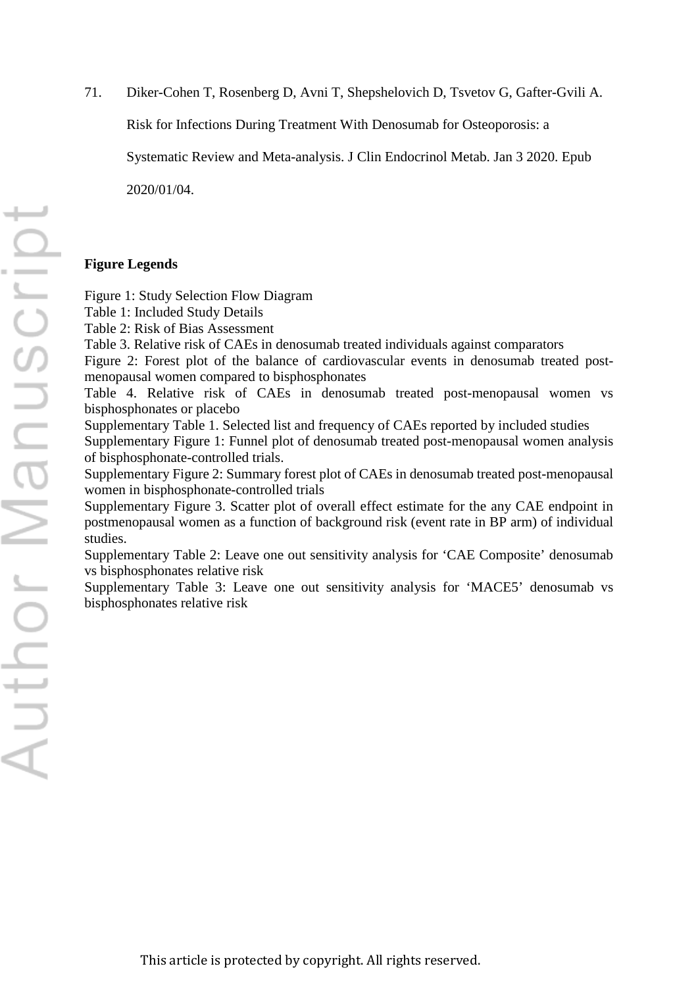71. Diker-Cohen T, Rosenberg D, Avni T, Shepshelovich D, Tsvetov G, Gafter-Gvili A.

Risk for Infections During Treatment With Denosumab for Osteoporosis: a

Systematic Review and Meta-analysis. J Clin Endocrinol Metab. Jan 3 2020. Epub

2020/01/04.

# **Figure Legends**

Figure 1: Study Selection Flow Diagram

Table 1: Included Study Details

Table 2: Risk of Bias Assessment

Table 3. Relative risk of CAEs in denosumab treated individuals against comparators

Figure 2: Forest plot of the balance of cardiovascular events in denosumab treated postmenopausal women compared to bisphosphonates

Table 4. Relative risk of CAEs in denosumab treated post-menopausal women vs bisphosphonates or placebo

Supplementary Table 1. Selected list and frequency of CAEs reported by included studies Supplementary Figure 1: Funnel plot of denosumab treated post-menopausal women analysis of bisphosphonate-controlled trials.

Supplementary Figure 2: Summary forest plot of CAEs in denosumab treated post-menopausal women in bisphosphonate-controlled trials

Supplementary Figure 3. Scatter plot of overall effect estimate for the any CAE endpoint in postmenopausal women as a function of background risk (event rate in BP arm) of individual studies.

Supplementary Table 2: Leave one out sensitivity analysis for 'CAE Composite' denosumab vs bisphosphonates relative risk

Supplementary Table 3: Leave one out sensitivity analysis for 'MACE5' denosumab vs bisphosphonates relative risk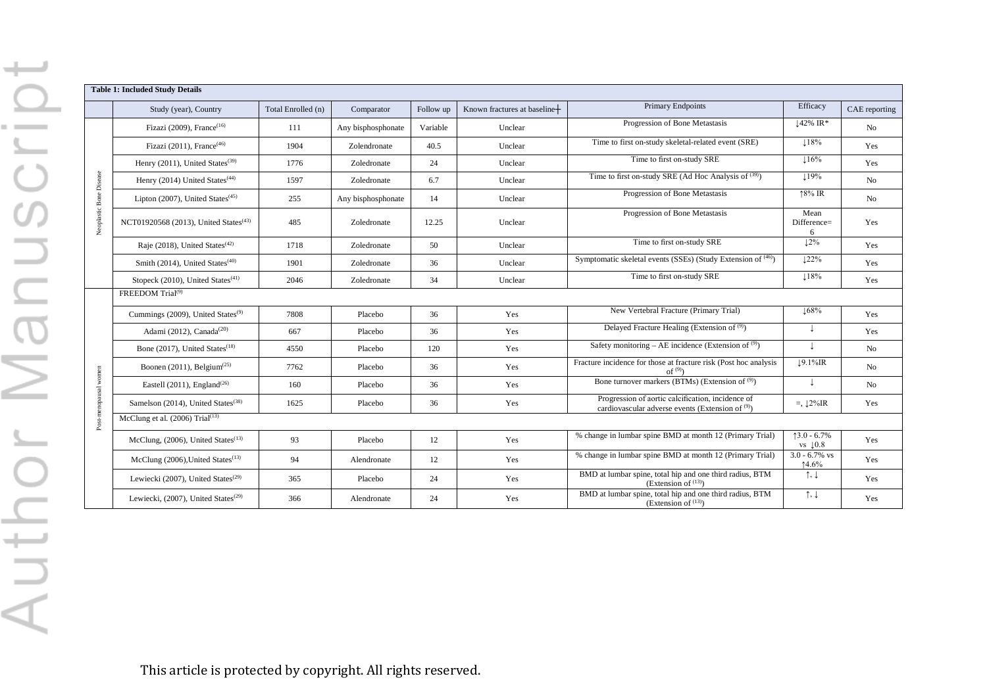|                         | Study (year), Country                                        | Total Enrolled (n) | Comparator         | Follow up | Known fractures at baseline+ | <b>Primary Endpoints</b>                                                                                 | Efficacy                              | CAE reporting |  |  |  |  |
|-------------------------|--------------------------------------------------------------|--------------------|--------------------|-----------|------------------------------|----------------------------------------------------------------------------------------------------------|---------------------------------------|---------------|--|--|--|--|
|                         | Fizazi (2009), France <sup>(16)</sup>                        | 111                | Any bisphosphonate | Variable  | Unclear                      | Progression of Bone Metastasis                                                                           | $\downarrow$ 42% IR*                  | No            |  |  |  |  |
|                         | Fizazi (2011), France <sup>(46)</sup>                        | 1904               | Zolendronate       | 40.5      | Unclear                      | Time to first on-study skeletal-related event (SRE)                                                      | 118%                                  | Yes           |  |  |  |  |
|                         | Henry (2011), United States <sup>(39)</sup>                  | 1776               | Zoledronate        | 24        | Unclear                      | Time to first on-study SRE                                                                               | 116%                                  | Yes           |  |  |  |  |
|                         | Henry (2014) United States <sup>(44)</sup>                   | 1597               | Zoledronate        | 6.7       | Unclear                      | Time to first on-study SRE (Ad Hoc Analysis of $(39)$ )                                                  | 119%                                  | No            |  |  |  |  |
|                         | Lipton $(2007)$ , United States <sup><math>(45)</math></sup> | 255                | Any bisphosphonate | 14        | Unclear                      | Progression of Bone Metastasis                                                                           | $18\%$ IR                             | No            |  |  |  |  |
| Neoplastic Bone Disease | NCT01920568 (2013), United States <sup>(43)</sup>            | 485                | Zoledronate        | 12.25     | Unclear                      | Progression of Bone Metastasis                                                                           | Mean<br>Difference=<br>6              | Yes           |  |  |  |  |
|                         | Raje (2018), United States <sup>(42)</sup>                   | 1718               | Zoledronate        | 50        | Unclear                      | Time to first on-study SRE                                                                               | 12%                                   | Yes           |  |  |  |  |
|                         | Smith (2014), United States <sup>(40)</sup>                  | 1901               | Zoledronate        | 36        | Unclear                      | Symptomatic skeletal events (SSEs) (Study Extension of (46))                                             | 122%                                  | Yes           |  |  |  |  |
|                         | Stopeck (2010), United States <sup>(41)</sup>                | 2046               | Zoledronate        | 34        | Unclear                      | Time to first on-study SRE                                                                               | $\downarrow$ 18%                      | Yes           |  |  |  |  |
|                         | FREEDOM Trial <sup>(9)</sup>                                 |                    |                    |           |                              |                                                                                                          |                                       |               |  |  |  |  |
|                         | Cummings (2009), United States <sup>(9)</sup>                | 7808               | Placebo            | 36        | Yes                          | New Vertebral Fracture (Primary Trial)                                                                   | $\downarrow$ 68%                      | Yes           |  |  |  |  |
|                         | Adami (2012), Canada <sup>(20)</sup>                         | 667                | Placebo            | 36        | Yes                          | Delayed Fracture Healing (Extension of <sup>(9)</sup> )                                                  | J                                     | Yes           |  |  |  |  |
|                         | Bone (2017), United States <sup>(18)</sup>                   | 4550               | Placebo            | 120       | Yes                          | Safety monitoring – AE incidence (Extension of $(9)$ )                                                   | $\perp$                               | No            |  |  |  |  |
|                         | Boonen (2011), Belgium <sup>(25)</sup>                       | 7762               | Placebo            | 36        | Yes                          | Fracture incidence for those at fracture risk (Post hoc analysis<br>of $(9)$                             | $19.1\%$ IR                           | No            |  |  |  |  |
|                         | Eastell $(2011)$ , England <sup><math>(26)</math></sup>      | 160                | Placebo            | 36        | Yes                          | Bone turnover markers (BTMs) (Extension of (9))                                                          |                                       | No            |  |  |  |  |
| Post-menopausal women   | Samelson (2014), United States <sup>(38)</sup>               | 1625               | Placebo            | 36        | Yes                          | Progression of aortic calcification, incidence of<br>cardiovascular adverse events (Extension of $(9)$ ) | $= 12\%$ IR                           | Yes           |  |  |  |  |
|                         | McClung et al. $(2006)$ Trial <sup><math>(13)</math></sup>   |                    |                    |           |                              |                                                                                                          |                                       |               |  |  |  |  |
|                         | McClung, (2006), United States <sup>(13)</sup>               | 93                 | Placebo            | 12        | Yes                          | % change in lumbar spine BMD at month 12 (Primary Trial)                                                 | $13.0 - 6.7\%$<br>vs $\downarrow 0.8$ | Yes           |  |  |  |  |
|                         | McClung (2006), United States <sup>(13)</sup>                | 94                 | Alendronate        | 12        | Yes                          | % change in lumbar spine BMD at month 12 (Primary Trial)                                                 | $3.0 - 6.7\%$ vs<br>14.6%             | Yes           |  |  |  |  |
|                         | Lewiecki (2007), United States <sup>(29)</sup>               | 365                | Placebo            | 24        | Yes                          | BMD at lumbar spine, total hip and one third radius, BTM<br>(Extension of $^{(13)}$ )                    | $\uparrow, \downarrow$                | Yes           |  |  |  |  |
|                         | Lewiecki, (2007), United States <sup>(29)</sup>              | 366                | Alendronate        | 24        | Yes                          | BMD at lumbar spine, total hip and one third radius, BTM<br>(Extension of (13))                          | $\uparrow, \downarrow$                | Yes           |  |  |  |  |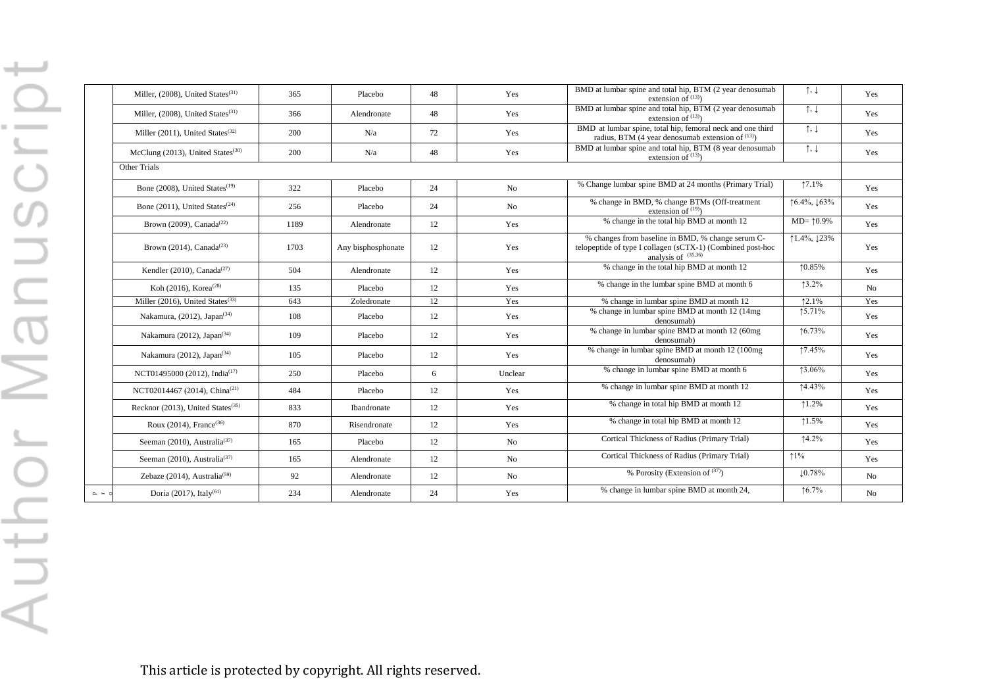|                      | Miller, (2008), United States <sup>(31)</sup>                | 365  | Placebo            | 48 | Yes     | BMD at lumbar spine and total hip, BTM (2 year denosumab<br>extension of $(13)$                                                          | $\uparrow, \downarrow$  | Yes            |
|----------------------|--------------------------------------------------------------|------|--------------------|----|---------|------------------------------------------------------------------------------------------------------------------------------------------|-------------------------|----------------|
|                      | Miller, (2008), United States <sup>(31)</sup>                | 366  | Alendronate        | 48 | Yes     | BMD at lumbar spine and total hip, BTM (2 year denosumab<br>extension of $(13)$                                                          | $\uparrow, \downarrow$  | Yes            |
|                      | Miller $(2011)$ , United States <sup><math>(32)</math></sup> | 200  | N/a                | 72 | Yes     | BMD at lumbar spine, total hip, femoral neck and one third<br>radius, BTM (4 year denosumab extension of $(13)$ )                        | $\uparrow, \downarrow$  | Yes            |
|                      | McClung (2013), United States <sup>(30)</sup>                | 200  | N/a                | 48 | Yes     | BMD at lumbar spine and total hip, BTM (8 year denosumab<br>extension of $(13)$                                                          | $\uparrow, \downarrow$  | Yes            |
|                      | <b>Other Trials</b>                                          |      |                    |    |         |                                                                                                                                          |                         |                |
|                      | Bone (2008), United States <sup>(19)</sup>                   | 322  | Placebo            | 24 | No      | % Change lumbar spine BMD at 24 months (Primary Trial)                                                                                   | 17.1%                   | Yes            |
|                      | Bone $(2011)$ . United States <sup><math>(24)</math></sup>   | 256  | Placebo            | 24 | No      | % change in BMD, % change BTMs (Off-treatment<br>extension of $(19)$                                                                     | ↑6.4%, $\downarrow$ 63% | Yes            |
|                      | Brown (2009), Canada <sup>(22)</sup>                         | 1189 | Alendronate        | 12 | Yes     | % change in the total hip BMD at month 12                                                                                                | $MD = 10.9\%$           | Yes            |
|                      | Brown (2014), Canada <sup><math>(23)</math></sup>            | 1703 | Any bisphosphonate | 12 | Yes     | % changes from baseline in BMD, % change serum C-<br>telopeptide of type I collagen (sCTX-1) (Combined post-hoc<br>analysis of $(35,36)$ | $1.4\%, 123\%$          | Yes            |
|                      | Kendler (2010), Canada <sup>(27)</sup>                       | 504  | Alendronate        | 12 | Yes     | % change in the total hip BMD at month 12                                                                                                | 10.85%                  | Yes            |
|                      | Koh (2016), Korea <sup>(28)</sup>                            | 135  | Placebo            | 12 | Yes     | % change in the lumbar spine BMD at month 6                                                                                              | $13.2\%$                | No.            |
|                      | Miller (2016), United States <sup>(33)</sup>                 | 643  | Zoledronate        | 12 | Yes     | % change in lumbar spine BMD at month 12                                                                                                 | 12.1%                   | Yes            |
|                      | Nakamura, $(2012)$ , Japan <sup><math>(34)</math></sup>      | 108  | Placebo            | 12 | Yes     | % change in lumbar spine BMD at month 12 (14mg)<br>denosumab)                                                                            | 15.71%                  | Yes            |
|                      | Nakamura (2012), Japan <sup>(34)</sup>                       | 109  | Placebo            | 12 | Yes     | % change in lumbar spine BMD at month 12 (60mg<br>denosumab)                                                                             | 16.73%                  | Yes            |
|                      | Nakamura (2012), Japan <sup>(34)</sup>                       | 105  | Placebo            | 12 | Yes     | % change in lumbar spine BMD at month 12 (100mg)<br>denosumab)                                                                           | 17.45%                  | Yes            |
|                      | NCT01495000 (2012), India <sup>(17)</sup>                    | 250  | Placebo            | 6  | Unclear | % change in lumbar spine BMD at month 6                                                                                                  | 13.06%                  | Yes            |
|                      | NCT02014467 (2014), China <sup>(21)</sup>                    | 484  | Placebo            | 12 | Yes     | % change in lumbar spine BMD at month 12                                                                                                 | 14.43%                  | Yes            |
|                      | Recknor (2013), United States <sup>(35)</sup>                | 833  | <b>Ibandronate</b> | 12 | Yes     | % change in total hip BMD at month 12                                                                                                    | 1.2%                    | Yes            |
|                      | Roux $(2014)$ , France <sup><math>(36)</math></sup>          | 870  | Risendronate       | 12 | Yes     | % change in total hip BMD at month 12                                                                                                    | 1.5%                    | Yes            |
|                      | Seeman (2010). Australia <sup>(37)</sup>                     | 165  | Placebo            | 12 | No      | Cortical Thickness of Radius (Primary Trial)                                                                                             | $14.2\%$                | Yes            |
|                      | Seeman (2010), Australia <sup>(37)</sup>                     | 165  | Alendronate        | 12 | No      | Cortical Thickness of Radius (Primary Trial)                                                                                             | $1\%$                   | Yes            |
|                      | Zebaze $(2014)$ , Australia <sup>(59)</sup>                  | 92   | Alendronate        | 12 | No      | % Porosity (Extension of $(37)$ )                                                                                                        | 10.78%                  | N <sub>o</sub> |
| $\sim$ $\sim$ $\sim$ | Doria (2017), Italy <sup>(61)</sup>                          | 234  | Alendronate        | 24 | Yes     | % change in lumbar spine BMD at month 24,                                                                                                | 16.7%                   | No             |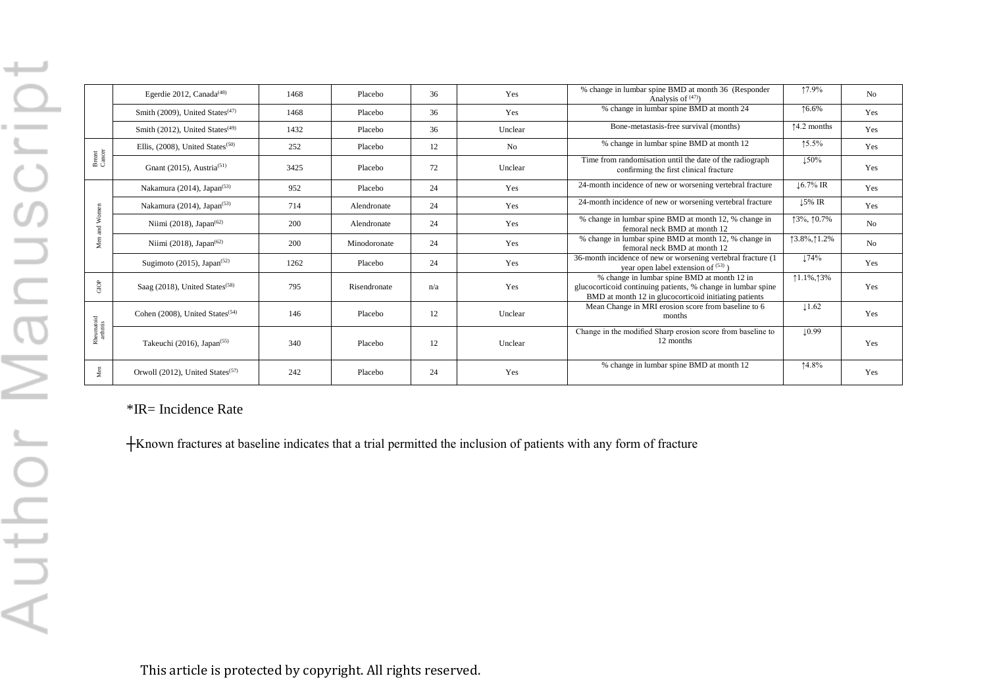|                         | Egerdie 2012, Canada <sup><math>(48)</math></sup>            | 1468 | Placebo      | 36  | Yes            | % change in lumbar spine BMD at month 36 (Responder<br>Analysis of $(47)$                                                                                            | 17.9%                 | N <sub>0</sub> |
|-------------------------|--------------------------------------------------------------|------|--------------|-----|----------------|----------------------------------------------------------------------------------------------------------------------------------------------------------------------|-----------------------|----------------|
|                         | Smith (2009), United States $(47)$                           | 1468 | Placebo      | 36  | Yes            | % change in lumbar spine BMD at month 24                                                                                                                             | 16.6%                 | Yes            |
|                         | Smith (2012), United States <sup>(49)</sup>                  | 1432 | Placebo      | 36  | Unclear        | Bone-metastasis-free survival (months)                                                                                                                               | $\uparrow$ 4.2 months | Yes            |
|                         | Ellis, $(2008)$ , United States <sup><math>(50)</math></sup> | 252  | Placebo      | 12  | N <sub>o</sub> | % change in lumbar spine BMD at month 12                                                                                                                             | 15.5%                 | Yes            |
| Breast<br>Cancer        | Gnant (2015), Austria <sup>(51)</sup>                        | 3425 | Placebo      | 72  | Unclear        | Time from randomisation until the date of the radiograph<br>confirming the first clinical fracture                                                                   | 150%                  | Yes            |
|                         | Nakamura (2014), Japan <sup><math>(53)</math></sup>          | 952  | Placebo      | 24  | Yes            | 24-month incidence of new or worsening vertebral fracture                                                                                                            | $\downarrow$ 6.7% IR  | Yes            |
|                         | Nakamura (2014), Japan <sup><math>(53)</math></sup>          | 714  | Alendronate  | 24  | Yes            | 24-month incidence of new or worsening vertebral fracture                                                                                                            | $\downarrow$ 5% IR    | Yes            |
| Men and Women           | Niimi (2018), Japan <sup><math>(62)</math></sup>             | 200  | Alendronate  | 24  | Yes            | % change in lumbar spine BMD at month 12, % change in<br>femoral neck BMD at month 12                                                                                | 13%, 10.7%            | N <sub>0</sub> |
|                         | Niimi (2018), Japan <sup><math>(62)</math></sup>             | 200  | Minodoronate | 24  | Yes            | % change in lumbar spine BMD at month 12, % change in<br>femoral neck BMD at month 12                                                                                | 13.8%, 11.2%          | No             |
|                         | Sugimoto (2015), Japan <sup><math>(52)</math></sup>          | 1262 | Placebo      | 24  | Yes            | 36-month incidence of new or worsening vertebral fracture (1)<br>year open label extension of $(53)$ )                                                               | 174%                  | Yes            |
| ${\rm GOP}$             | Saag $(2018)$ , United States <sup><math>(58)</math></sup>   | 795  | Risendronate | n/a | Yes            | % change in lumbar spine BMD at month 12 in<br>glucocorticoid continuing patients, % change in lumbar spine<br>BMD at month 12 in glucocorticoid initiating patients | $1.1\%, 13\%$         | Yes            |
|                         | Cohen (2008), United States <sup>(54)</sup>                  | 146  | Placebo      | 12  | Unclear        | Mean Change in MRI erosion score from baseline to 6<br>months                                                                                                        | $\downarrow$ 1.62     | Yes            |
| Rheumatoid<br>arthritis | Takeuchi (2016), Japan <sup>(55)</sup>                       | 340  | Placebo      | 12  | Unclear        | Change in the modified Sharp erosion score from baseline to<br>12 months                                                                                             | $\downarrow$ 0.99     | Yes            |
| Men                     | Orwoll (2012), United States <sup>(57)</sup>                 | 242  | Placebo      | 24  | Yes            | % change in lumbar spine BMD at month 12                                                                                                                             | 14.8%                 | Yes            |

\*IR= Incidence Rate

┼Known fractures at baseline indicates that a trial permitted the inclusion of patients with any form of fracture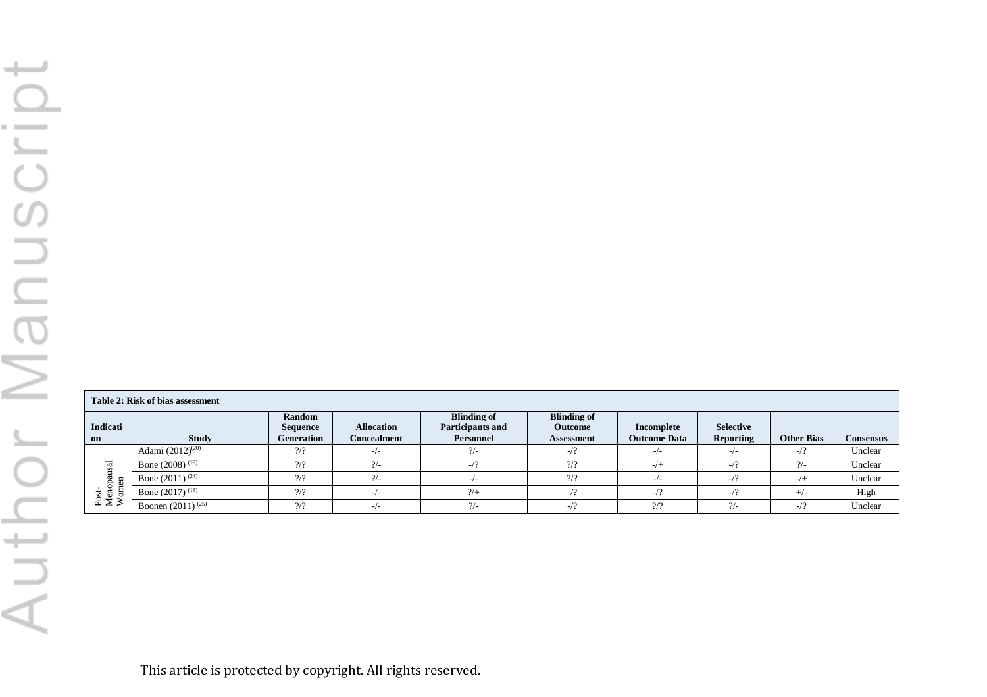|                          | Table 2: Risk of bias assessment |                                                       |                                  |                                                     |                                                    |                                   |                                      |                   |           |  |  |  |  |
|--------------------------|----------------------------------|-------------------------------------------------------|----------------------------------|-----------------------------------------------------|----------------------------------------------------|-----------------------------------|--------------------------------------|-------------------|-----------|--|--|--|--|
| Indicati<br>on           | <b>Study</b>                     | <b>Random</b><br><b>Sequence</b><br><b>Generation</b> | <b>Allocation</b><br>Concealment | <b>Blinding of</b><br>Participants and<br>Personnel | <b>Blinding of</b><br>Outcome<br><b>Assessment</b> | Incomplete<br><b>Outcome Data</b> | <b>Selective</b><br><b>Reporting</b> | <b>Other Bias</b> | Consensus |  |  |  |  |
|                          | Adami $(2012)^{(20)}$            | $\frac{2}{2}$                                         | $-/-$                            | $\frac{2}{-}$                                       | $-1$ ?                                             | $-/-$                             | $-1-$                                | $-12$             | Unclear   |  |  |  |  |
|                          | Bone $(2008)^{(19)}$             | 2/2                                                   | $\frac{2}{2}$                    | $-1$ ?                                              | 2/2                                                | $-/-$                             | $-1$ ?                               | $\frac{2}{-}$     | Unclear   |  |  |  |  |
|                          | Bone $(2011)^{(24)}$             | 2/2                                                   | $\frac{2}{2}$                    | $-1-$                                               | 2/2                                                | $-/-$                             | $-12$                                | $-/-$             | Unclear   |  |  |  |  |
| Post-<br>Menopa<br>Womer | Bone $(2017)^{(18)}$             | $\frac{2}{2}$                                         | $-/-$                            | 2/                                                  | $-1$ ?                                             | $-12$                             | $-12$                                | $+/-$             | High      |  |  |  |  |
|                          | Boonen $(2011)^{(25)}$           | 2/2                                                   | $-/-$                            | $\frac{2}{-}$                                       | $-1$ ?                                             | 2/2                               | $\frac{2}{-}$                        | $-1$ ?            | Unclear   |  |  |  |  |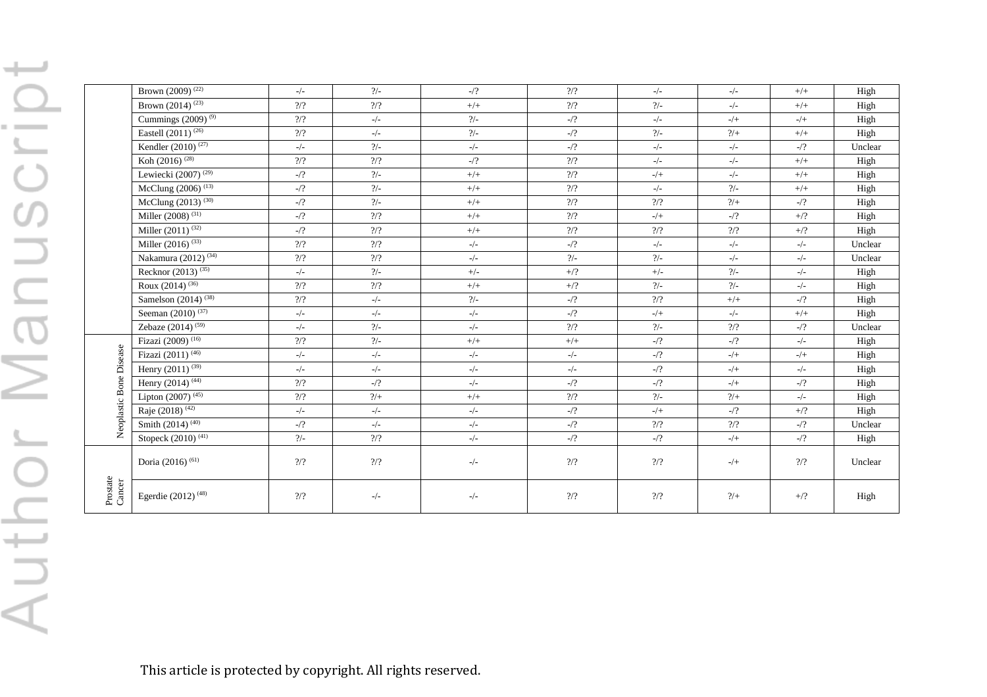|                         | Brown (2009) <sup>(22)</sup>                | $-/-$          | $\frac{2}{-}$   | $-12$         | $\frac{2}{2}$                    | $-/-$                    | $-/-$                                                                                    | $+/+$         | High    |
|-------------------------|---------------------------------------------|----------------|-----------------|---------------|----------------------------------|--------------------------|------------------------------------------------------------------------------------------|---------------|---------|
|                         | Brown $(2014)^{\frac{(23)}{(23)}}$          | 2/2            | $\frac{2}{2}$   | $+/-$         | 2/2                              | $\frac{2}{-}$            | $-/-$                                                                                    | $+/+$         | High    |
|                         | Cummings $(2009)^{(9)}$                     | $\frac{2}{2}$  | $-/-$           | $\frac{2}{-}$ | $-1/2$                           | $-/-$                    | $-/+$                                                                                    | $-/+$         | High    |
|                         | Eastell $(2011)^{(26)}$                     | $\gamma\gamma$ | $-/-$           | $\frac{2}{-}$ | $-12$                            | $\frac{2}{-}$            | $2/+$                                                                                    | $+/+$         | High    |
|                         | Kendler (2010) <sup><math>(27)</math></sup> | $-/-$          | $\frac{2}{-}$   | $-/-$         | $-12$                            | $_-/-$                   | $_-/-$                                                                                   | $-1/2$        | Unclear |
|                         | Koh $(2016)^{(28)}$                         | $\frac{2}{2}$  | $\frac{2}{7}$   | $-$ /?        | $\frac{2}{2}$                    | $-/-$                    | $-/-$                                                                                    | $+/+$         | High    |
|                         | Lewiecki $\overline{(2007)^{(29)}}$         | $-$ /?         | $\frac{2}{-}$   | $+/-$         | $\frac{2}{2}$                    | $-/+$                    | $-/-$                                                                                    | $+/+$         | High    |
|                         | McClung $(2006)^{(13)}$                     | $-$ /?         | $\frac{2}{-}$   | $+/+$         | 2/2                              | $-/-$                    | $\frac{2}{-}$                                                                            | $+/+$         | High    |
|                         | McClung (2013) <sup>(30)</sup>              | $-$ /?         | $\frac{2}{-}$   | $+/+$         | $\frac{2}{2}$                    | 2/2                      | $2/+$                                                                                    | $-12$         | High    |
|                         | Miller $(2008)^{(31)}$                      | $-1/2$         | $\frac{2}{7}$   | $+/+$         | $\gamma\gamma$                   | $-/+$                    | $-$ /?                                                                                   | $+/?$         | High    |
|                         | Miller $(2011)^{(32)}$                      | $-1/2$         | $\frac{2}{2}$   | $+/+$         | $\frac{2}{2}$                    | $\mathcal{V}\mathcal{V}$ | $\mathcal{V}\mathcal{V}$                                                                 | $+/?$         | High    |
|                         | Miller $(2016)^{(33)}$                      | $\gamma\gamma$ | $\frac{2}{7}$   | $_-/\_$       | $-12$                            | $-/-$                    | $_-/-$                                                                                   | $_-/-$        | Unclear |
|                         | Nakamura (2012) $(34)$                      | $\frac{2}{7}$  | 2/2             | $_-/\_$       | $\frac{2}{-}$                    | $\frac{2}{-}$            | $_-/-$                                                                                   | $-/-$         | Unclear |
|                         | Recknor (2013) <sup>(35)</sup>              | $-/-$          | $\frac{2}{-}$   | $+/-$         | $+/?$                            | $+/-$                    | $\frac{2}{-}$                                                                            | $-/-$         | High    |
|                         | Roux (2014) <sup>(36)</sup>                 | $\gamma\gamma$ | $\gamma/\gamma$ | $+/+$         | $+/?$                            | $\frac{2}{-}$            | $\frac{2}{-}$                                                                            | $-/-$         | High    |
|                         | Samelson $(2014)^{(38)}$                    | $\frac{2}{3}$  | $-/-$           | $\frac{2}{2}$ | $-12$                            | $\frac{2}{7}$            | $+/+$                                                                                    | -/?           | High    |
|                         | Seeman (2010) <sup>(37)</sup>               | $_-/-$         | $\frac{1}{2}$   | $\frac{1}{2}$ | $-12$                            | $-/+$                    | $-/-$                                                                                    | $+/+$         | High    |
|                         | Zebaze (2014) <sup>(59)</sup>               | $-/-$          | $\frac{2}{-}$   | $-/-$         | $\gamma\gamma$                   | $\frac{2}{-}$            | $\gamma\gamma$                                                                           | $-$ /?        | Unclear |
|                         | Fizazi (2009) <sup>(16)</sup>               | $\gamma\gamma$ | $\frac{2}{-}$   | $+/+$         | $+/+$                            | $-$ /?                   | $-12$                                                                                    | $-/-$         | High    |
|                         | Fizazi (2011) <sup>(46)</sup>               | $-/-$          | $_-/-$          | $-/-$         | $-/-$                            | $-12$                    | $-/+$                                                                                    | $-/+$         | High    |
| Neoplastic Bone Disease | Henry $(2011)^{(39)}$                       | $-/-$          | $-/-$           | $\frac{1}{2}$ | $\frac{\ }{2}\sqrt{\frac{1}{2}}$ | $-$ 2                    | $\mathord{\hspace{1pt}\text{--}\hspace{1pt}}/\mathord{\hspace{1pt}\text{+}\hspace{1pt}}$ | $\frac{1}{2}$ | High    |
|                         | Henry $(2014)^{(44)}$                       | $\frac{2}{2}$  | $-$ /?          | $-/-$         | $-1/2$                           | $-$ 2                    | $\mathord{\hspace{1pt}\text{--}\hspace{1pt}}/\mathord{\hspace{1pt}\text{+}\hspace{1pt}}$ | $-1/2$        | High    |
|                         | Lipton $(2007)^{(45)}$                      | 2/2            | 2/              | $+/+$         | 2/2                              | $\frac{2}{-}$            | $2/+$                                                                                    | $-/-$         | High    |
|                         | Raje $(2018)^{(42)}$                        | $_-/-$         | $\frac{1}{2}$   | $\frac{1}{2}$ | $\frac{1}{2}$                    | $-/+$                    | $\mathcal{A}$                                                                            | $+/?$         | High    |
|                         | Smith $(2014)^{(40)}$                       | $-1/2$         | $-/-$           | $\frac{1}{2}$ | $-$ /?                           | $\frac{2}{2}$            | $\frac{2}{7}$                                                                            | $-12$         | Unclear |
|                         | Stopeck $(2010)^{(41)}$                     | $\frac{2}{-}$  | $\gamma/\gamma$ | $-/-$         | $\frac{1}{2}$                    | $-12$                    | $-/+$                                                                                    | $-12$         | High    |
|                         | Doria (2016) <sup>(61)</sup>                | $\frac{2}{2}$  | $\gamma\gamma$  | $-/-$         | $\gamma\gamma$                   | $\mathcal{V}\mathcal{V}$ | $-/+$                                                                                    | $\frac{2}{7}$ | Unclear |
| Prostate<br>Cancer      | Egerdie (2012) <sup>(48)</sup>              | 2/2            | $-/-$           | $-/-$         | $\gamma\gamma$                   | $\gamma/\gamma$          | $2/+$                                                                                    | $+$ /?        | High    |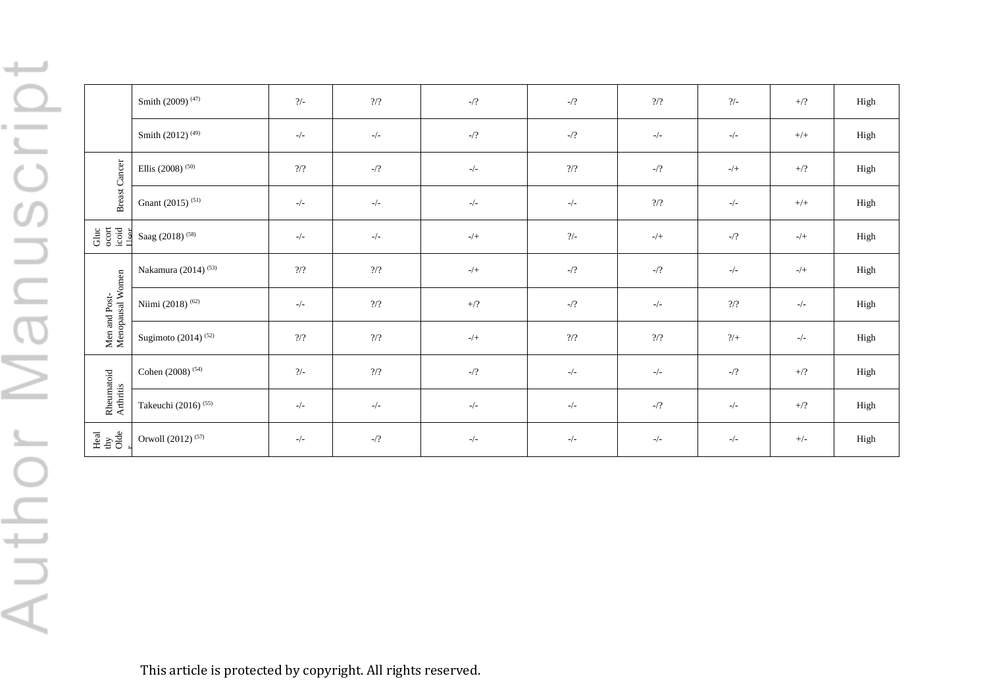$\qquad \qquad \qquad \qquad$ r Manuscrip uth  $\sim$ 

|                                                                                          | Smith (2009) <sup>(47)</sup>    | $\frac{2}{-}$  | $\gamma\gamma$           | $-$ /?        | $\frac{1}{2}$            | $\frac{2}{2}$                                                                            | $\frac{2}{-}$                                                                            | $+/?$    | High |
|------------------------------------------------------------------------------------------|---------------------------------|----------------|--------------------------|---------------|--------------------------|------------------------------------------------------------------------------------------|------------------------------------------------------------------------------------------|----------|------|
|                                                                                          | Smith (2012) <sup>(49)</sup>    | $-/-$          | $-/-$                    | $\frac{1}{2}$ | $\frac{1}{2}$            | $-/-$                                                                                    | $-/-$                                                                                    | $^{+/+}$ | High |
|                                                                                          | Ellis (2008) $^{(50)}$          | $\frac{2}{2}$  | $\mathcal{A}$            | $-/-$         | $\frac{2}{2}$            | $-1/2$                                                                                   | $\mathord{\hspace{1pt}\text{--}\hspace{1pt}}/\mathord{\hspace{1pt}\text{+}\hspace{1pt}}$ | $+/?$    | High |
| <b>Breast Cancer</b>                                                                     | Gnant (2015) <sup>(51)</sup>    | $-/-$          | $-/-$                    | $-/-$         | $-/-$                    | $\frac{2}{2}$                                                                            | $-/-$                                                                                    | $+/+$    | High |
| $\begin{array}{l} {\rm Gluc}\\ {\rm coord}\\ {\rm i\, codl}\\ {\rm I\, ser} \end{array}$ | Saag (2018) <sup>(58)</sup>     | $-/-$          | $-/-$                    | $-/+$         | $\gamma_{\rm -}$         | $\mathord{\hspace{1pt}\text{--}\hspace{1pt}}/\mathord{\hspace{1pt}\text{+}\hspace{1pt}}$ | $-12$                                                                                    | $-/+$    | High |
|                                                                                          | Nakamura (2014) <sup>(53)</sup> | $\frac{2}{2}$  | $\frac{2}{2}$            | $-/+$         | $-1/2$                   | $-1/2$                                                                                   | $-/-$                                                                                    | $-/+$    | High |
| Men and Post-<br>Menopausal Women                                                        | Niimi (2018) <sup>(62)</sup>    | $-/-$          | $\frac{2}{2}$            | $+/?$         | $\frac{1}{2}$            | $_-/-$                                                                                   | $\frac{2}{2}$                                                                            | $-/-$    | High |
|                                                                                          | Sugimoto (2014) $(52)$          | $\gamma\gamma$ | $\mathcal{V}\mathcal{V}$ | $-/+$         | $\mathcal{V}\mathcal{V}$ | $\gamma\gamma$                                                                           | 2/                                                                                       | $-/-$    | High |
|                                                                                          | Cohen (2008) <sup>(54)</sup>    | $\frac{2}{-}$  | $\mathcal{V}\mathcal{V}$ | $-$ 2         | $-/-$                    | $-/-$                                                                                    | $\frac{1}{2}$                                                                            | $+/?$    | High |
| Rheumatoid<br>Arthritis                                                                  | Takeuchi (2016) <sup>(55)</sup> | $-/-$          | $-/-$                    | $-/-$         | $-/-$                    | $\frac{1}{2}$                                                                            | $-/-$                                                                                    | $+/?$    | High |
| $\frac{\text{Heal}}{\text{day}}$                                                         | Orwoll (2012) <sup>(57)</sup>   | $-/-$          | $\frac{1}{2}$            | $-/-$         | $-/-$                    | $-/-$                                                                                    | $-/-$                                                                                    | $+/-$    | High |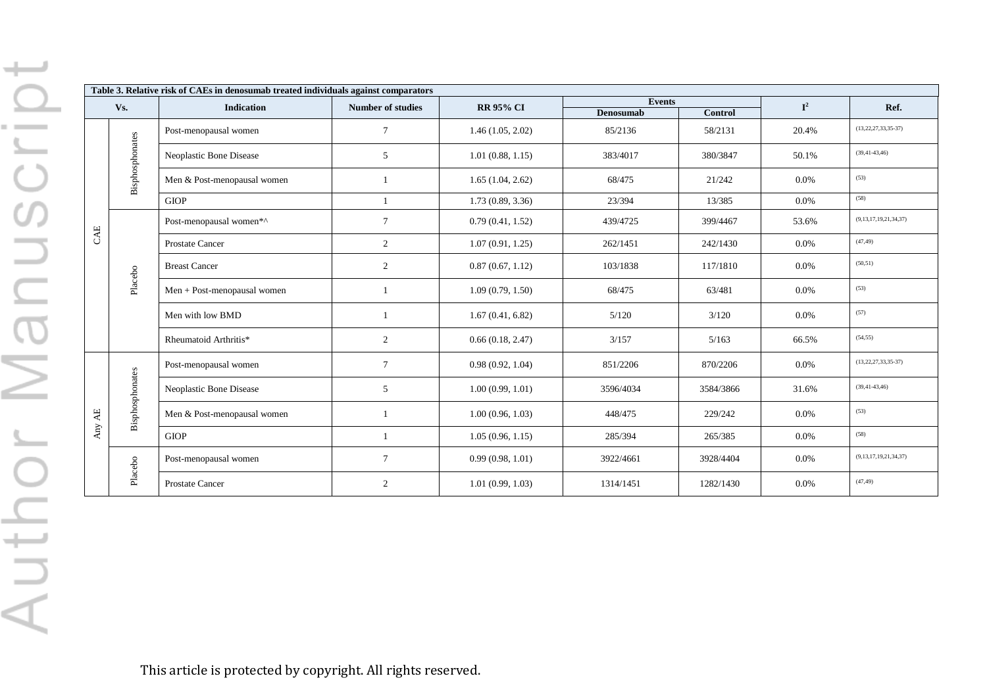|        | Table 3. Relative risk of CAEs in denosumab treated individuals against comparators |                             |                          |                  |                  |           |             |                             |  |  |  |
|--------|-------------------------------------------------------------------------------------|-----------------------------|--------------------------|------------------|------------------|-----------|-------------|-----------------------------|--|--|--|
|        | Vs.                                                                                 | <b>Indication</b>           | <b>Number of studies</b> | <b>RR 95% CI</b> | <b>Events</b>    |           | ${\bf I}^2$ | Ref.                        |  |  |  |
|        |                                                                                     |                             |                          |                  | <b>Denosumab</b> | Control   |             |                             |  |  |  |
|        |                                                                                     | Post-menopausal women       | $\tau$                   | 1.46(1.05, 2.02) | 85/2136          | 58/2131   | 20.4%       | $(13, 22, 27, 33, 35-37)$   |  |  |  |
|        | Bisphosphonates                                                                     | Neoplastic Bone Disease     | 5                        | 1.01(0.88, 1.15) | 383/4017         | 380/3847  | 50.1%       | $(39, 41 - 43, 46)$         |  |  |  |
| CAE    |                                                                                     | Men & Post-menopausal women |                          | 1.65(1.04, 2.62) | 68/475           | 21/242    | 0.0%        | (53)                        |  |  |  |
|        |                                                                                     | <b>GIOP</b>                 | $\mathbf{1}$             | 1.73(0.89, 3.36) | 23/394           | 13/385    | 0.0%        | (58)                        |  |  |  |
|        |                                                                                     | Post-menopausal women*^     | $\tau$                   | 0.79(0.41, 1.52) | 439/4725         | 399/4467  | 53.6%       | (9,13,17,19,21,34,37)       |  |  |  |
|        |                                                                                     | <b>Prostate Cancer</b>      | $\overline{2}$           | 1.07(0.91, 1.25) | 262/1451         | 242/1430  | $0.0\%$     | (47, 49)                    |  |  |  |
|        |                                                                                     | <b>Breast Cancer</b>        | $\overline{2}$           | 0.87(0.67, 1.12) | 103/1838         | 117/1810  | 0.0%        | (50, 51)                    |  |  |  |
|        | Placebo                                                                             | Men + Post-menopausal women | $\mathbf{1}$             | 1.09(0.79, 1.50) | 68/475           | 63/481    | 0.0%        | (53)                        |  |  |  |
|        |                                                                                     | Men with low BMD            | $\overline{1}$           | 1.67(0.41, 6.82) | 5/120            | 3/120     | 0.0%        | (57)                        |  |  |  |
|        |                                                                                     | Rheumatoid Arthritis*       | 2                        | 0.66(0.18, 2.47) | 3/157            | 5/163     | 66.5%       | (54, 55)                    |  |  |  |
|        |                                                                                     | Post-menopausal women       | $\tau$                   | 0.98(0.92, 1.04) | 851/2206         | 870/2206  | 0.0%        | $(13, 22, 27, 33, 35-37)$   |  |  |  |
|        | Bisphosphonates                                                                     | Neoplastic Bone Disease     | 5                        | 1.00(0.99, 1.01) | 3596/4034        | 3584/3866 | 31.6%       | $(39, 41 - 43, 46)$         |  |  |  |
| Any AE |                                                                                     | Men & Post-menopausal women | $\overline{1}$           | 1.00(0.96, 1.03) | 448/475          | 229/242   | $0.0\%$     | (53)                        |  |  |  |
|        |                                                                                     | <b>GIOP</b>                 | $\overline{1}$           | 1.05(0.96, 1.15) | 285/394          | 265/385   | 0.0%        | (58)                        |  |  |  |
|        | Placebo                                                                             | Post-menopausal women       | $\tau$                   | 0.99(0.98, 1.01) | 3922/4661        | 3928/4404 | 0.0%        | (9, 13, 17, 19, 21, 34, 37) |  |  |  |
|        |                                                                                     | <b>Prostate Cancer</b>      | $\overline{2}$           | 1.01(0.99, 1.03) | 1314/1451        | 1282/1430 | 0.0%        | (47, 49)                    |  |  |  |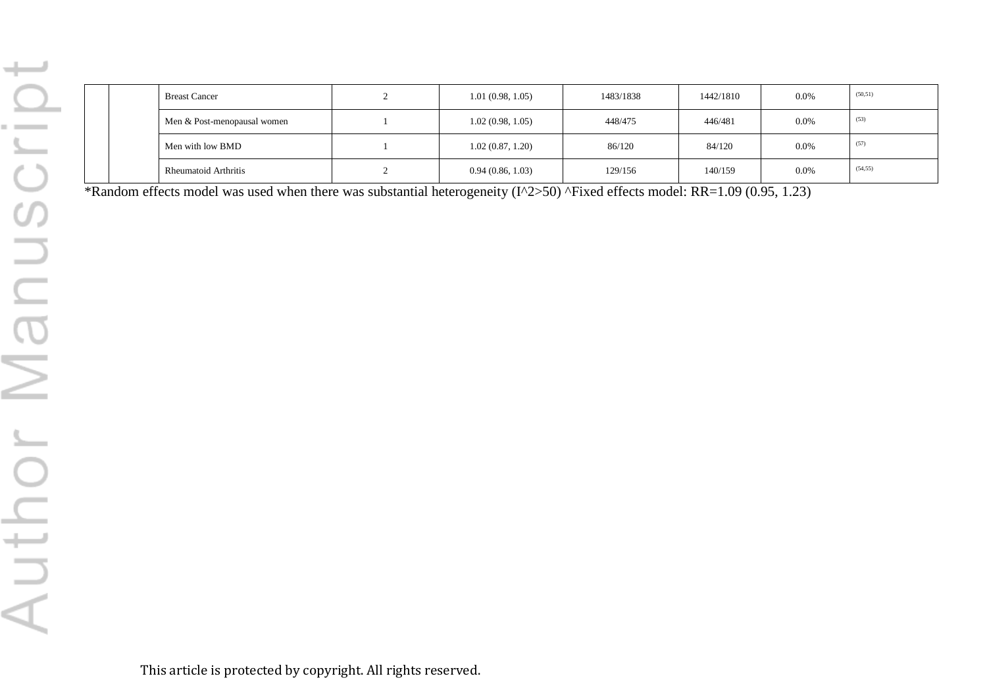| <b>Breast Cancer</b>        | 1.01(0.98, 1.05) | 1483/1838 | 1442/1810 | $0.0\%$ | (50, 51) |
|-----------------------------|------------------|-----------|-----------|---------|----------|
| Men & Post-menopausal women | 1.02(0.98, 1.05) | 448/475   | 446/481   | 0.0%    | (53)     |
| Men with low BMD            | 1.02(0.87, 1.20) | 86/120    | 84/120    | $0.0\%$ | (57)     |
| <b>Rheumatoid Arthritis</b> | 0.94(0.86, 1.03) | 129/156   | 140/159   | $0.0\%$ | (54, 55) |

\*Random effects model was used when there was substantial heterogeneity (I^2>50) ^Fixed effects model: RR=1.09 (0.95, 1.23)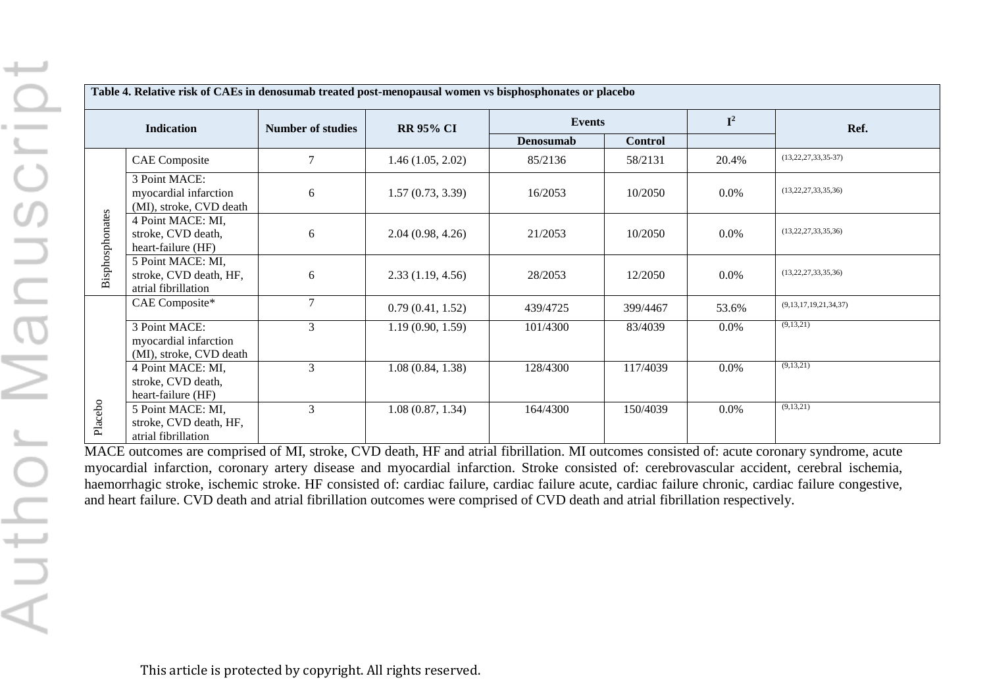|                 | Table 4. Relative risk of CAEs in denosumab treated post-menopausal women vs bisphosphonates or placebo |                          |                  |               |                |                |                           |  |  |  |  |
|-----------------|---------------------------------------------------------------------------------------------------------|--------------------------|------------------|---------------|----------------|----------------|---------------------------|--|--|--|--|
|                 | <b>Indication</b>                                                                                       | <b>Number of studies</b> | <b>RR 95% CI</b> | <b>Events</b> |                | $\mathbf{I}^2$ | Ref.                      |  |  |  |  |
|                 |                                                                                                         |                          |                  | Denosumab     | <b>Control</b> |                |                           |  |  |  |  |
|                 | <b>CAE</b> Composite                                                                                    | 7                        | 1.46(1.05, 2.02) | 85/2136       | 58/2131        | 20.4%          | $(13, 22, 27, 33, 35-37)$ |  |  |  |  |
| Bisphosphonates | 3 Point MACE:<br>myocardial infarction<br>(MI), stroke, CVD death                                       | 6                        | 1.57(0.73, 3.39) | 16/2053       | 10/2050        | $0.0\%$        | (13, 22, 27, 33, 35, 36)  |  |  |  |  |
|                 | 4 Point MACE: MI,<br>stroke, CVD death,<br>heart-failure (HF)                                           | 6                        | 2.04(0.98, 4.26) | 21/2053       | 10/2050        | $0.0\%$        | (13, 22, 27, 33, 35, 36)  |  |  |  |  |
|                 | 5 Point MACE: MI,<br>stroke, CVD death, HF,<br>atrial fibrillation                                      | 6                        | 2.33(1.19, 4.56) | 28/2053       | 12/2050        | $0.0\%$        | (13, 22, 27, 33, 35, 36)  |  |  |  |  |
|                 | CAE Composite*                                                                                          | 7                        | 0.79(0.41, 1.52) | 439/4725      | 399/4467       | 53.6%          | (9,13,17,19,21,34,37)     |  |  |  |  |
|                 | 3 Point MACE:<br>myocardial infarction<br>(MI), stroke, CVD death                                       | 3                        | 1.19(0.90, 1.59) | 101/4300      | 83/4039        | $0.0\%$        | (9,13,21)                 |  |  |  |  |
|                 | 4 Point MACE: MI,<br>stroke, CVD death,<br>heart-failure (HF)                                           | 3                        | 1.08(0.84, 1.38) | 128/4300      | 117/4039       | 0.0%           | (9,13,21)                 |  |  |  |  |
| Placebo         | 5 Point MACE: MI,<br>stroke, CVD death, HF,<br>atrial fibrillation                                      | 3                        | 1.08(0.87, 1.34) | 164/4300      | 150/4039       | 0.0%           | (9,13,21)                 |  |  |  |  |

MACE outcomes are comprised of MI, stroke, CVD death, HF and atrial fibrillation. MI outcomes consisted of: acute coronary syndrome, acute myocardial infarction, coronary artery disease and myocardial infarction. Stroke consisted of: cerebrovascular accident, cerebral ischemia, haemorrhagic stroke, ischemic stroke. HF consisted of: cardiac failure, cardiac failure acute, cardiac failure chronic, cardiac failure congestive, and heart failure. CVD death and atrial fibrillation outcomes were comprised of CVD death and atrial fibrillation respectively.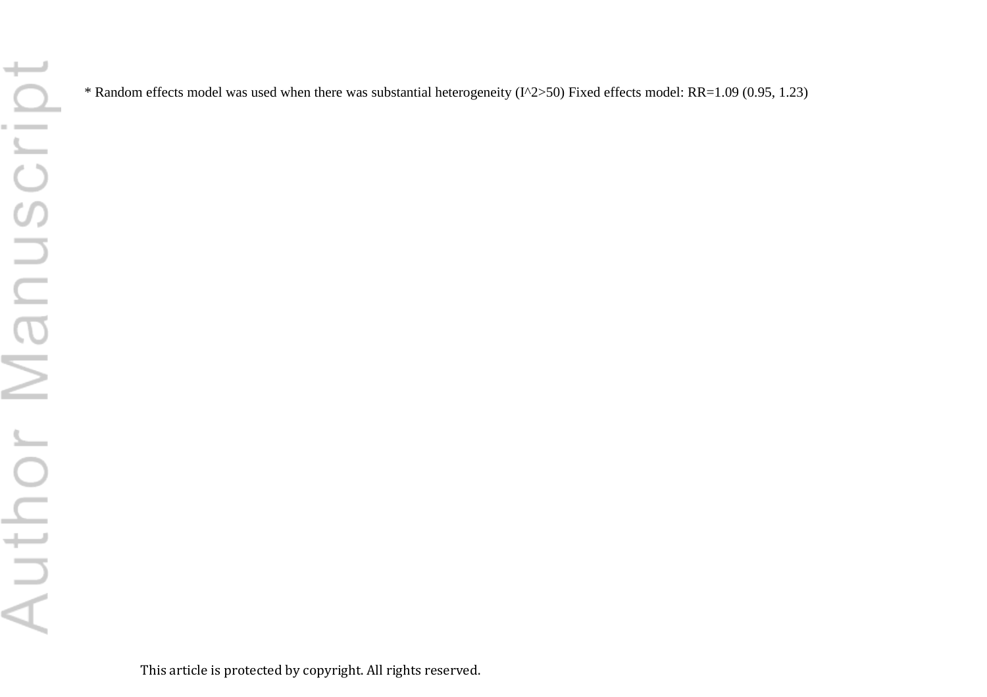\* Random effects model was used when there was substantial heterogeneity (I^2>50) Fixed effects model: RR=1.09 (0.95, 1.23)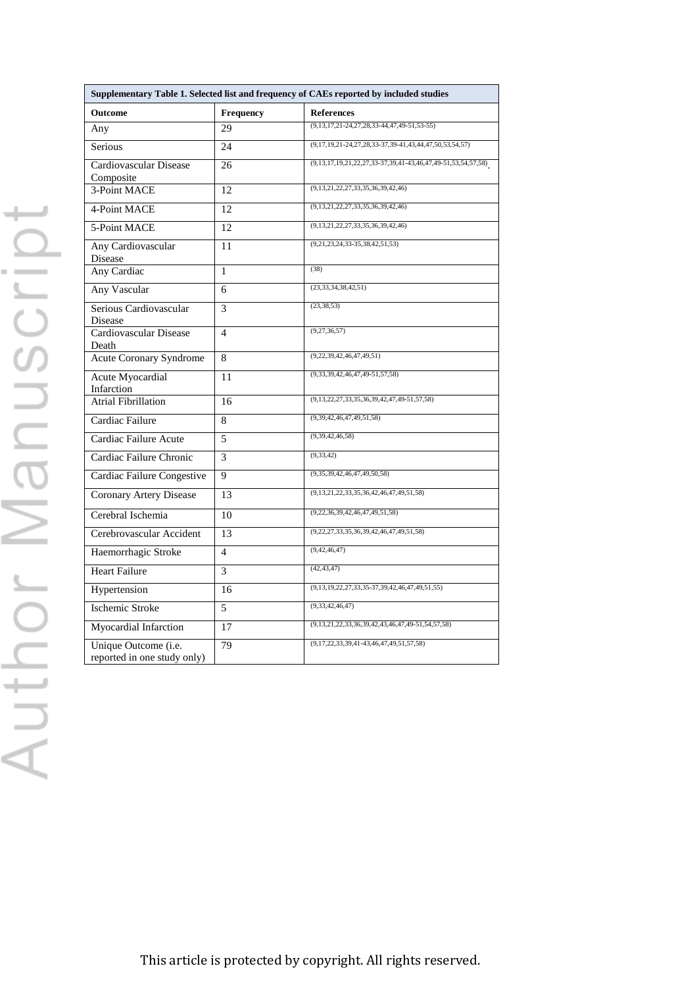|                                                     |                | Supplementary Table 1. Selected list and frequency of CAEs reported by included studies |
|-----------------------------------------------------|----------------|-----------------------------------------------------------------------------------------|
| Outcome                                             | Frequency      | <b>References</b><br>$(9,13,17,21-24,27,28,33-44,47,49-51,53-55)$                       |
| Any                                                 | 29             |                                                                                         |
| Serious                                             | 24             | $(9,17,19,21-24,27,28,33-37,39-41,43,44,47,50,53,54,57)$                                |
| Cardiovascular Disease                              | 26             | $(9,13,17,19,21,22,27,33-37,39,41-43,46,47,49-51,53,54,57,58)$                          |
| Composite                                           |                |                                                                                         |
| 3-Point MACE                                        | 12             | (9,13,21,22,27,33,35,36,39,42,46)                                                       |
| 4-Point MACE                                        | 12             | (9,13,21,22,27,33,35,36,39,42,46)                                                       |
| 5-Point MACE                                        | 12             | $(9, 13, 21, 22, 27, 33, 35, 36, 39, 42, 46)$                                           |
| Any Cardiovascular<br><b>Disease</b>                | 11             | $(9,21,23,24,33-35,38,42,51,53)$                                                        |
| Any Cardiac                                         | $\mathbf{1}$   | (38)                                                                                    |
| Any Vascular                                        | 6              | (23, 33, 34, 38, 42, 51)                                                                |
| Serious Cardiovascular<br><b>Disease</b>            | 3              | (23, 38, 53)                                                                            |
| Cardiovascular Disease<br>Death                     | $\overline{4}$ | (9, 27, 36, 57)                                                                         |
| <b>Acute Coronary Syndrome</b>                      | 8              | (9,22,39,42,46,47,49,51)                                                                |
| <b>Acute Myocardial</b><br>Infarction               | 11             | $(9,33,39,42,46,47,49-51,57,58)$                                                        |
| <b>Atrial Fibrillation</b>                          | 16             | $(9,13,22,27,33,35,36,39,42,47,49-51,57,58)$                                            |
| Cardiac Failure                                     | 8              | (9,39,42,46,47,49,51,58)                                                                |
| Cardiac Failure Acute                               | 5              | (9, 39, 42, 46, 58)                                                                     |
| Cardiac Failure Chronic                             | 3              | (9, 33, 42)                                                                             |
| Cardiac Failure Congestive                          | 9              | (9,35,39,42,46,47,49,50,58)                                                             |
| <b>Coronary Artery Disease</b>                      | 13             | $(9, 13, 21, 22, 33, 35, 36, 42, 46, 47, 49, 51, 58)$                                   |
| Cerebral Ischemia                                   | 10             | (9,22,36,39,42,46,47,49,51,58)                                                          |
| Cerebrovascular Accident                            | 13             | $(9,22,27,33,35,36,39,42,46,47,49,51,58)$                                               |
| Haemorrhagic Stroke                                 | $\overline{4}$ | (9, 42, 46, 47)                                                                         |
| <b>Heart Failure</b>                                | 3              | (42, 43, 47)                                                                            |
| Hypertension                                        | 16             | $(9, 13, 19, 22, 27, 33, 35-37, 39, 42, 46, 47, 49, 51, 55)$                            |
| <b>Ischemic Stroke</b>                              | 5              | (9, 33, 42, 46, 47)                                                                     |
| Myocardial Infarction                               | 17             | $(9,13,21,22,33,36,39,42,43,46,47,49-51,54,57,58)$                                      |
| Unique Outcome (i.e.<br>reported in one study only) | 79             | $(9,17,22,33,39,41-43,46,47,49,51,57,58)$                                               |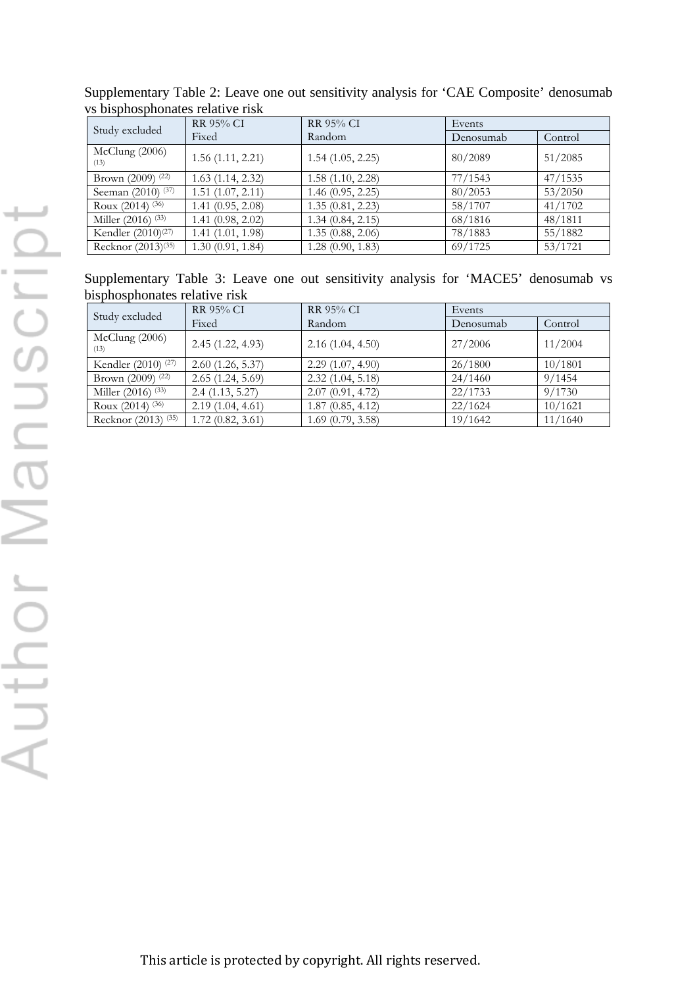| Study excluded                 | <b>RR 95% CI</b>      | <b>RR 95% CI</b> | Events    |         |
|--------------------------------|-----------------------|------------------|-----------|---------|
|                                | Fixed                 | Random           | Denosumab | Control |
| McClung (2006)<br>(13)         | 1.56(1.11, 2.21)      | 1.54(1.05, 2.25) | 80/2089   | 51/2085 |
| Brown (2009) (22)              | 1.63(1.14, 2.32)      | 1.58(1.10, 2.28) | 77/1543   | 47/1535 |
| Seeman (2010) (37)             | $1.51$ $(1.07, 2.11)$ | 1.46(0.95, 2.25) | 80/2053   | 53/2050 |
| Roux $(2014)$ (36)             | $1.41 \ (0.95, 2.08)$ | 1.35(0.81, 2.23) | 58/1707   | 41/1702 |
| Miller (2016) (33)             | 1.41(0.98, 2.02)      | 1.34(0.84, 2.15) | 68/1816   | 48/1811 |
| Kendler (2010) <sup>(27)</sup> | 1.41(1.01, 1.98)      | 1.35(0.88, 2.06) | 78/1883   | 55/1882 |
| Recknor (2013) <sup>(35)</sup> | 1.30(0.91, 1.84)      | 1.28(0.90, 1.83) | 69/1725   | 53/1721 |

Supplementary Table 2: Leave one out sensitivity analysis for 'CAE Composite' denosumab vs bisphosphonates relative risk

Supplementary Table 3: Leave one out sensitivity analysis for 'MACE5' denosumab vs bisphosphonates relative risk

| Study excluded                 | RR 95% CI        | <b>RR 95% CI</b> | Events    |         |  |  |
|--------------------------------|------------------|------------------|-----------|---------|--|--|
|                                | Fixed            | Random           | Denosumab | Control |  |  |
| McClung (2006)<br>(13)         | 2.45(1.22, 4.93) | 2.16(1.04, 4.50) | 27/2006   | 11/2004 |  |  |
| Kendler $(2010)^{(27)}$        | 2.60(1.26, 5.37) | 2.29(1.07, 4.90) | 26/1800   | 10/1801 |  |  |
| Brown (2009) (22)              | 2.65(1.24, 5.69) | 2.32(1.04, 5.18) | 24/1460   | 9/1454  |  |  |
| Miller (2016) (33)             | 2.4(1.13, 5.27)  | 2.07(0.91, 4.72) | 22/1733   | 9/1730  |  |  |
| Roux $(2014)$ <sup>(36)</sup>  | 2.19(1.04, 4.61) | 1.87(0.85, 4.12) | 22/1624   | 10/1621 |  |  |
| Recknor (2013) <sup>(35)</sup> | 1.72(0.82, 3.61) | 1.69(0.79, 3.58) | 19/1642   | 11/1640 |  |  |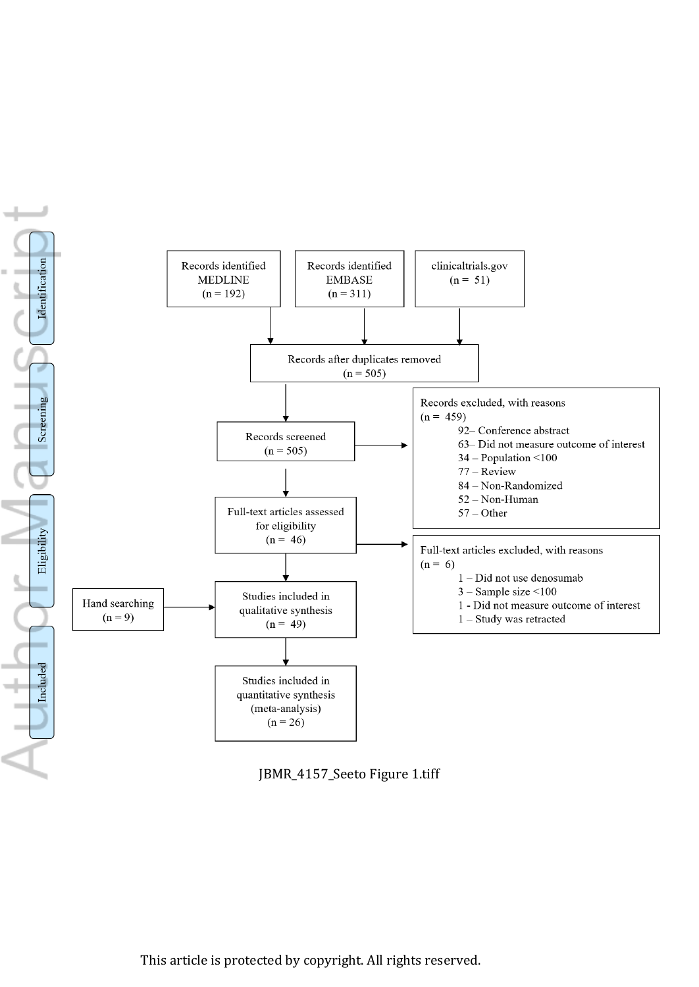

JBMR\_4157\_Seeto Figure 1.tiff